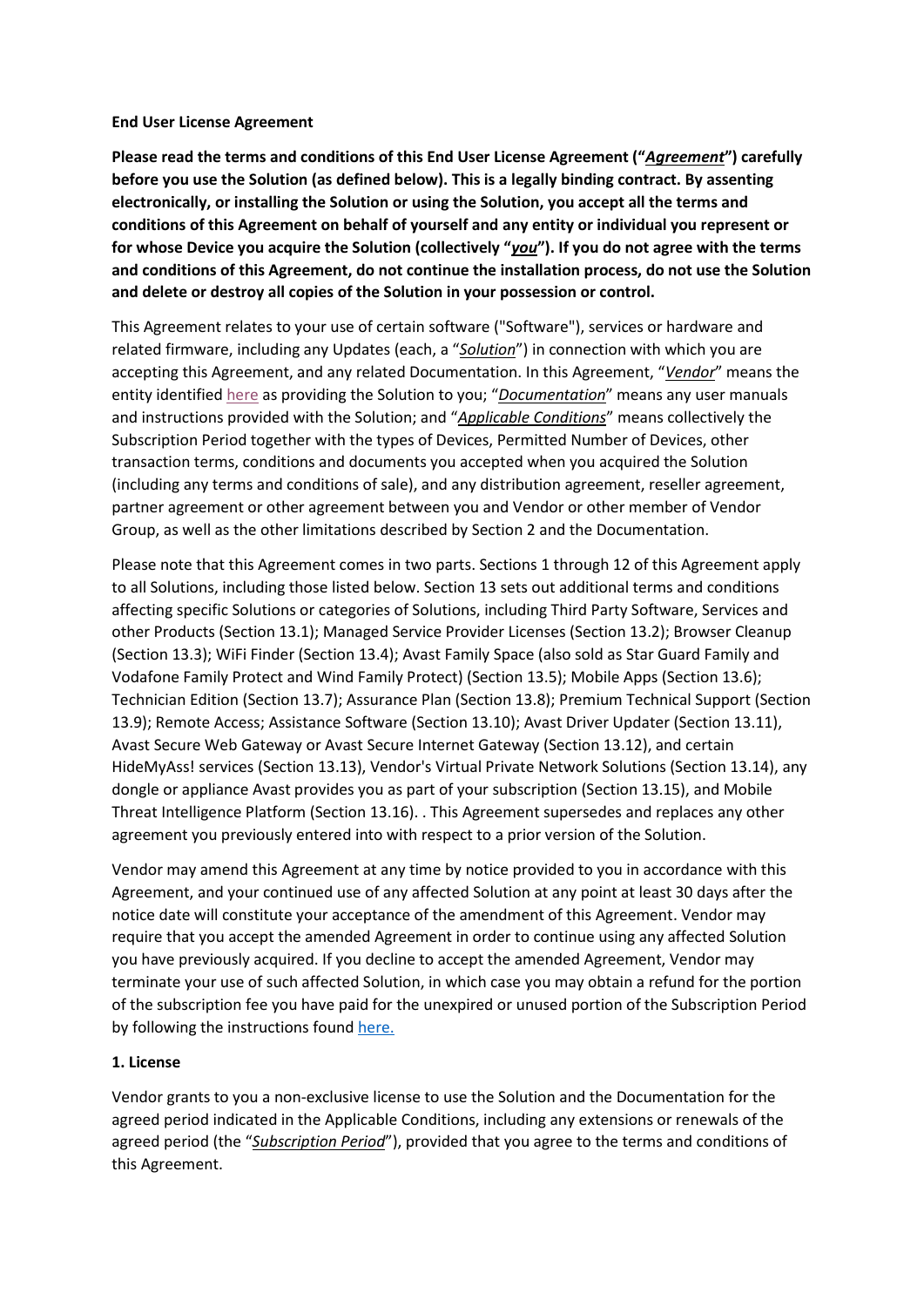#### **End User License Agreement**

**Please read the terms and conditions of this End User License Agreement ("***Agreement***") carefully before you use the Solution (as defined below). This is a legally binding contract. By assenting electronically, or installing the Solution or using the Solution, you accept all the terms and conditions of this Agreement on behalf of yourself and any entity or individual you represent or for whose Device you acquire the Solution (collectively "***you***"). If you do not agree with the terms and conditions of this Agreement, do not continue the installation process, do not use the Solution and delete or destroy all copies of the Solution in your possession or control.**

This Agreement relates to your use of certain software ("Software"), services or hardware and related firmware, including any Updates (each, a "*Solution*") in connection with which you are accepting this Agreement, and any related Documentation. In this Agreement, "*Vendor*" means the entity identified [here](http://www.avast.com/vendor) as providing the Solution to you; "*Documentation*" means any user manuals and instructions provided with the Solution; and "*Applicable Conditions*" means collectively the Subscription Period together with the types of Devices, Permitted Number of Devices, other transaction terms, conditions and documents you accepted when you acquired the Solution (including any terms and conditions of sale), and any distribution agreement, reseller agreement, partner agreement or other agreement between you and Vendor or other member of Vendor Group, as well as the other limitations described by Section 2 and the Documentation.

Please note that this Agreement comes in two parts. Sections 1 through 12 of this Agreement apply to all Solutions, including those listed below. Section 13 sets out additional terms and conditions affecting specific Solutions or categories of Solutions, including Third Party Software, Services and other Products (Section 13.1); Managed Service Provider Licenses (Section 13.2); Browser Cleanup (Section 13.3); WiFi Finder (Section 13.4); Avast Family Space (also sold as Star Guard Family and Vodafone Family Protect and Wind Family Protect) (Section 13.5); Mobile Apps (Section 13.6); Technician Edition (Section 13.7); Assurance Plan (Section 13.8); Premium Technical Support (Section 13.9); Remote Access; Assistance Software (Section 13.10); Avast Driver Updater (Section 13.11), Avast Secure Web Gateway or Avast Secure Internet Gateway (Section 13.12), and certain HideMyAss! services (Section 13.13), Vendor's Virtual Private Network Solutions (Section 13.14), any dongle or appliance Avast provides you as part of your subscription (Section 13.15), and Mobile Threat Intelligence Platform (Section 13.16). . This Agreement supersedes and replaces any other agreement you previously entered into with respect to a prior version of the Solution.

Vendor may amend this Agreement at any time by notice provided to you in accordance with this Agreement, and your continued use of any affected Solution at any point at least 30 days after the notice date will constitute your acceptance of the amendment of this Agreement. Vendor may require that you accept the amended Agreement in order to continue using any affected Solution you have previously acquired. If you decline to accept the amended Agreement, Vendor may terminate your use of such affected Solution, in which case you may obtain a refund for the portion of the subscription fee you have paid for the unexpired or unused portion of the Subscription Period by following the instructions foun[d here.](https://www.ccleaner.com/refund-policy)

#### **1. License**

Vendor grants to you a non-exclusive license to use the Solution and the Documentation for the agreed period indicated in the Applicable Conditions, including any extensions or renewals of the agreed period (the "*Subscription Period*"), provided that you agree to the terms and conditions of this Agreement.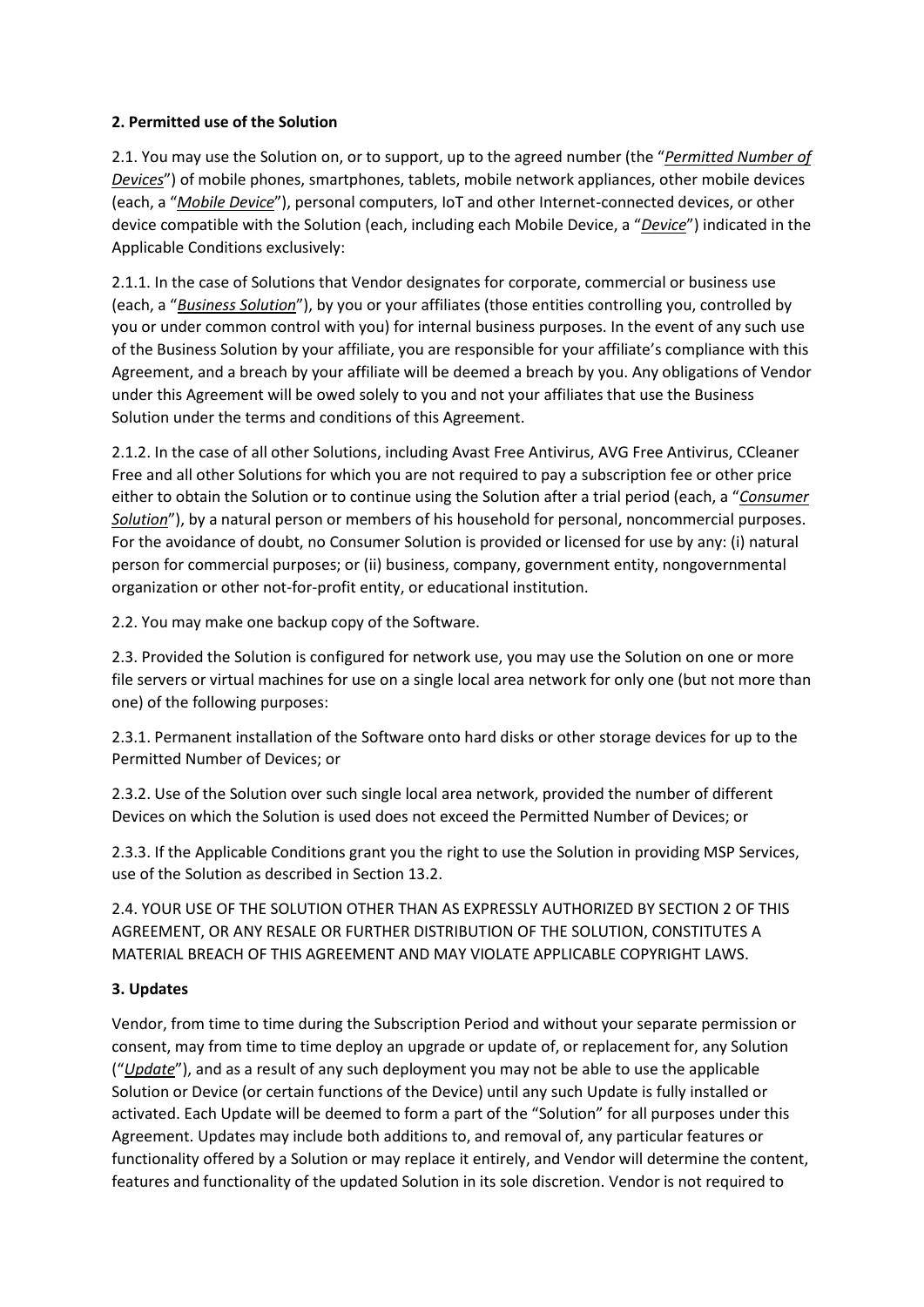# **2. Permitted use of the Solution**

2.1. You may use the Solution on, or to support, up to the agreed number (the "*Permitted Number of Devices*") of mobile phones, smartphones, tablets, mobile network appliances, other mobile devices (each, a "*Mobile Device*"), personal computers, IoT and other Internet-connected devices, or other device compatible with the Solution (each, including each Mobile Device, a "*Device*") indicated in the Applicable Conditions exclusively:

2.1.1. In the case of Solutions that Vendor designates for corporate, commercial or business use (each, a "*Business Solution*"), by you or your affiliates (those entities controlling you, controlled by you or under common control with you) for internal business purposes. In the event of any such use of the Business Solution by your affiliate, you are responsible for your affiliate's compliance with this Agreement, and a breach by your affiliate will be deemed a breach by you. Any obligations of Vendor under this Agreement will be owed solely to you and not your affiliates that use the Business Solution under the terms and conditions of this Agreement.

2.1.2. In the case of all other Solutions, including Avast Free Antivirus, AVG Free Antivirus, CCleaner Free and all other Solutions for which you are not required to pay a subscription fee or other price either to obtain the Solution or to continue using the Solution after a trial period (each, a "*Consumer Solution*"), by a natural person or members of his household for personal, noncommercial purposes. For the avoidance of doubt, no Consumer Solution is provided or licensed for use by any: (i) natural person for commercial purposes; or (ii) business, company, government entity, nongovernmental organization or other not-for-profit entity, or educational institution.

2.2. You may make one backup copy of the Software.

2.3. Provided the Solution is configured for network use, you may use the Solution on one or more file servers or virtual machines for use on a single local area network for only one (but not more than one) of the following purposes:

2.3.1. Permanent installation of the Software onto hard disks or other storage devices for up to the Permitted Number of Devices; or

2.3.2. Use of the Solution over such single local area network, provided the number of different Devices on which the Solution is used does not exceed the Permitted Number of Devices; or

2.3.3. If the Applicable Conditions grant you the right to use the Solution in providing MSP Services, use of the Solution as described in Section 13.2.

2.4. YOUR USE OF THE SOLUTION OTHER THAN AS EXPRESSLY AUTHORIZED BY SECTION 2 OF THIS AGREEMENT, OR ANY RESALE OR FURTHER DISTRIBUTION OF THE SOLUTION, CONSTITUTES A MATERIAL BREACH OF THIS AGREEMENT AND MAY VIOLATE APPLICABLE COPYRIGHT LAWS.

# **3. Updates**

Vendor, from time to time during the Subscription Period and without your separate permission or consent, may from time to time deploy an upgrade or update of, or replacement for, any Solution ("*Update*"), and as a result of any such deployment you may not be able to use the applicable Solution or Device (or certain functions of the Device) until any such Update is fully installed or activated. Each Update will be deemed to form a part of the "Solution" for all purposes under this Agreement. Updates may include both additions to, and removal of, any particular features or functionality offered by a Solution or may replace it entirely, and Vendor will determine the content, features and functionality of the updated Solution in its sole discretion. Vendor is not required to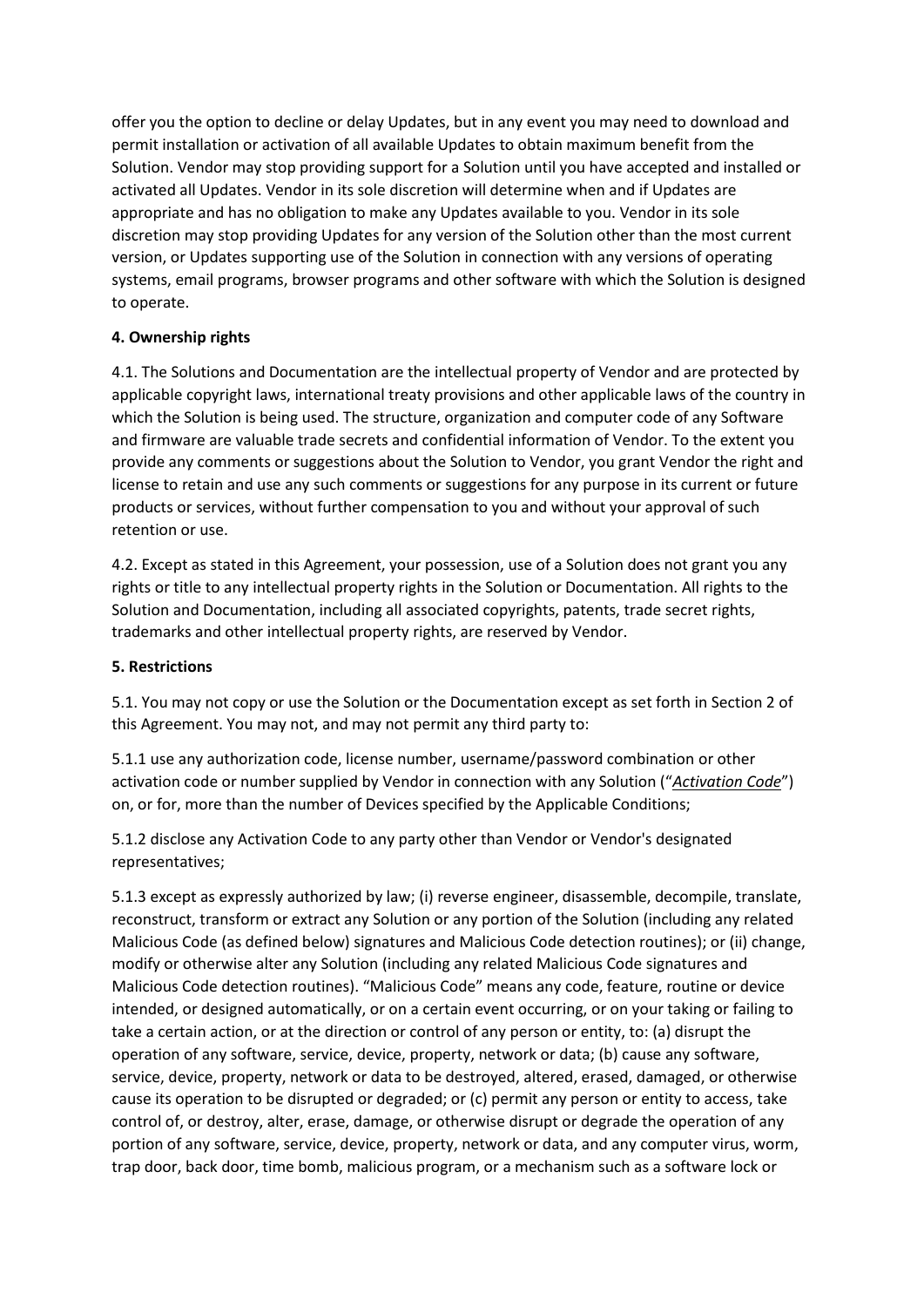offer you the option to decline or delay Updates, but in any event you may need to download and permit installation or activation of all available Updates to obtain maximum benefit from the Solution. Vendor may stop providing support for a Solution until you have accepted and installed or activated all Updates. Vendor in its sole discretion will determine when and if Updates are appropriate and has no obligation to make any Updates available to you. Vendor in its sole discretion may stop providing Updates for any version of the Solution other than the most current version, or Updates supporting use of the Solution in connection with any versions of operating systems, email programs, browser programs and other software with which the Solution is designed to operate.

# **4. Ownership rights**

4.1. The Solutions and Documentation are the intellectual property of Vendor and are protected by applicable copyright laws, international treaty provisions and other applicable laws of the country in which the Solution is being used. The structure, organization and computer code of any Software and firmware are valuable trade secrets and confidential information of Vendor. To the extent you provide any comments or suggestions about the Solution to Vendor, you grant Vendor the right and license to retain and use any such comments or suggestions for any purpose in its current or future products or services, without further compensation to you and without your approval of such retention or use.

4.2. Except as stated in this Agreement, your possession, use of a Solution does not grant you any rights or title to any intellectual property rights in the Solution or Documentation. All rights to the Solution and Documentation, including all associated copyrights, patents, trade secret rights, trademarks and other intellectual property rights, are reserved by Vendor.

# **5. Restrictions**

5.1. You may not copy or use the Solution or the Documentation except as set forth in Section 2 of this Agreement. You may not, and may not permit any third party to:

5.1.1 use any authorization code, license number, username/password combination or other activation code or number supplied by Vendor in connection with any Solution ("*Activation Code*") on, or for, more than the number of Devices specified by the Applicable Conditions;

5.1.2 disclose any Activation Code to any party other than Vendor or Vendor's designated representatives;

5.1.3 except as expressly authorized by law; (i) reverse engineer, disassemble, decompile, translate, reconstruct, transform or extract any Solution or any portion of the Solution (including any related Malicious Code (as defined below) signatures and Malicious Code detection routines); or (ii) change, modify or otherwise alter any Solution (including any related Malicious Code signatures and Malicious Code detection routines). "Malicious Code" means any code, feature, routine or device intended, or designed automatically, or on a certain event occurring, or on your taking or failing to take a certain action, or at the direction or control of any person or entity, to: (a) disrupt the operation of any software, service, device, property, network or data; (b) cause any software, service, device, property, network or data to be destroyed, altered, erased, damaged, or otherwise cause its operation to be disrupted or degraded; or (c) permit any person or entity to access, take control of, or destroy, alter, erase, damage, or otherwise disrupt or degrade the operation of any portion of any software, service, device, property, network or data, and any computer virus, worm, trap door, back door, time bomb, malicious program, or a mechanism such as a software lock or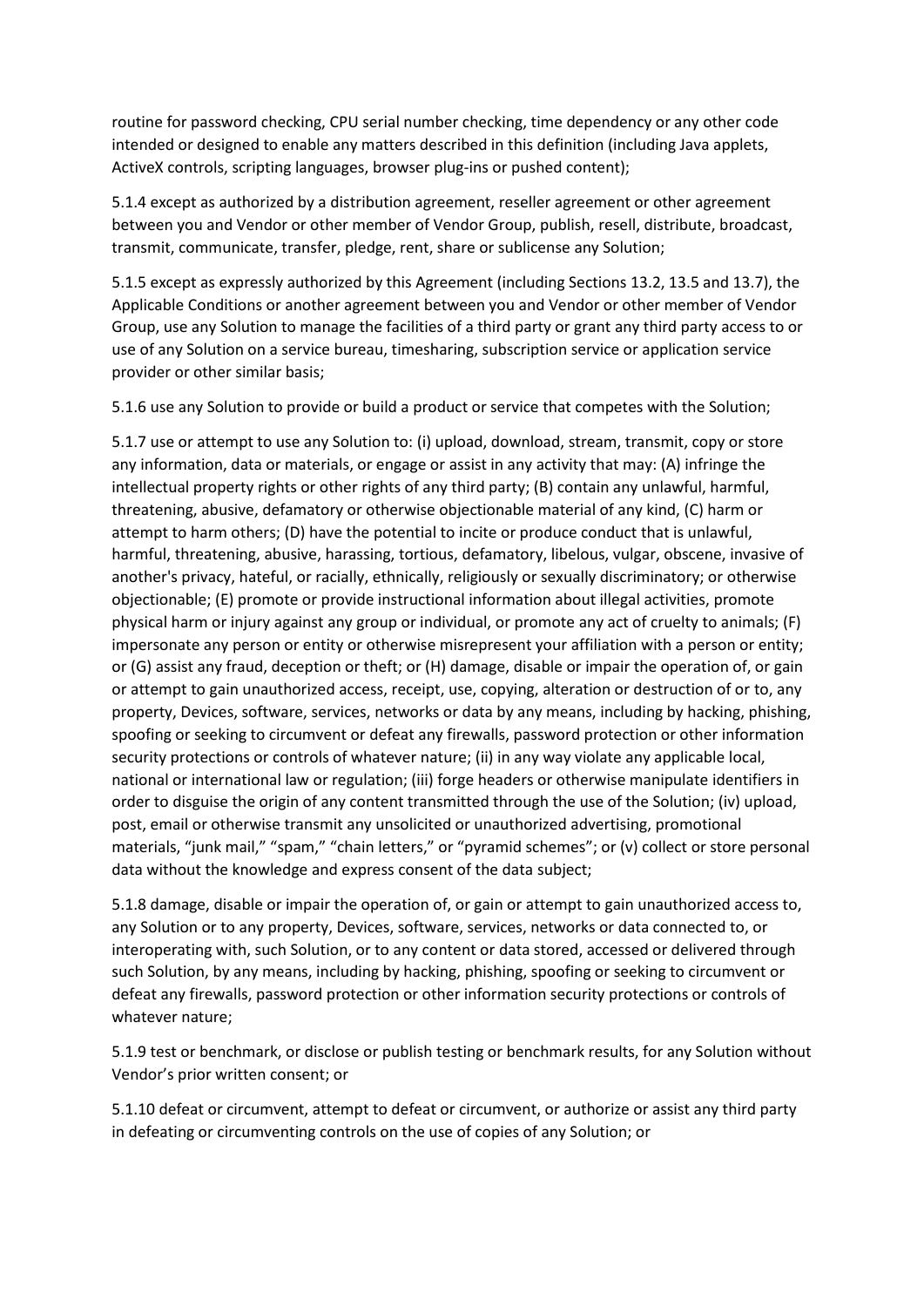routine for password checking, CPU serial number checking, time dependency or any other code intended or designed to enable any matters described in this definition (including Java applets, ActiveX controls, scripting languages, browser plug-ins or pushed content);

5.1.4 except as authorized by a distribution agreement, reseller agreement or other agreement between you and Vendor or other member of Vendor Group, publish, resell, distribute, broadcast, transmit, communicate, transfer, pledge, rent, share or sublicense any Solution;

5.1.5 except as expressly authorized by this Agreement (including Sections 13.2, 13.5 and 13.7), the Applicable Conditions or another agreement between you and Vendor or other member of Vendor Group, use any Solution to manage the facilities of a third party or grant any third party access to or use of any Solution on a service bureau, timesharing, subscription service or application service provider or other similar basis;

5.1.6 use any Solution to provide or build a product or service that competes with the Solution;

5.1.7 use or attempt to use any Solution to: (i) upload, download, stream, transmit, copy or store any information, data or materials, or engage or assist in any activity that may: (A) infringe the intellectual property rights or other rights of any third party; (B) contain any unlawful, harmful, threatening, abusive, defamatory or otherwise objectionable material of any kind, (C) harm or attempt to harm others; (D) have the potential to incite or produce conduct that is unlawful, harmful, threatening, abusive, harassing, tortious, defamatory, libelous, vulgar, obscene, invasive of another's privacy, hateful, or racially, ethnically, religiously or sexually discriminatory; or otherwise objectionable; (E) promote or provide instructional information about illegal activities, promote physical harm or injury against any group or individual, or promote any act of cruelty to animals; (F) impersonate any person or entity or otherwise misrepresent your affiliation with a person or entity; or (G) assist any fraud, deception or theft; or (H) damage, disable or impair the operation of, or gain or attempt to gain unauthorized access, receipt, use, copying, alteration or destruction of or to, any property, Devices, software, services, networks or data by any means, including by hacking, phishing, spoofing or seeking to circumvent or defeat any firewalls, password protection or other information security protections or controls of whatever nature; (ii) in any way violate any applicable local, national or international law or regulation; (iii) forge headers or otherwise manipulate identifiers in order to disguise the origin of any content transmitted through the use of the Solution; (iv) upload, post, email or otherwise transmit any unsolicited or unauthorized advertising, promotional materials, "junk mail," "spam," "chain letters," or "pyramid schemes"; or (v) collect or store personal data without the knowledge and express consent of the data subject;

5.1.8 damage, disable or impair the operation of, or gain or attempt to gain unauthorized access to, any Solution or to any property, Devices, software, services, networks or data connected to, or interoperating with, such Solution, or to any content or data stored, accessed or delivered through such Solution, by any means, including by hacking, phishing, spoofing or seeking to circumvent or defeat any firewalls, password protection or other information security protections or controls of whatever nature;

5.1.9 test or benchmark, or disclose or publish testing or benchmark results, for any Solution without Vendor's prior written consent; or

5.1.10 defeat or circumvent, attempt to defeat or circumvent, or authorize or assist any third party in defeating or circumventing controls on the use of copies of any Solution; or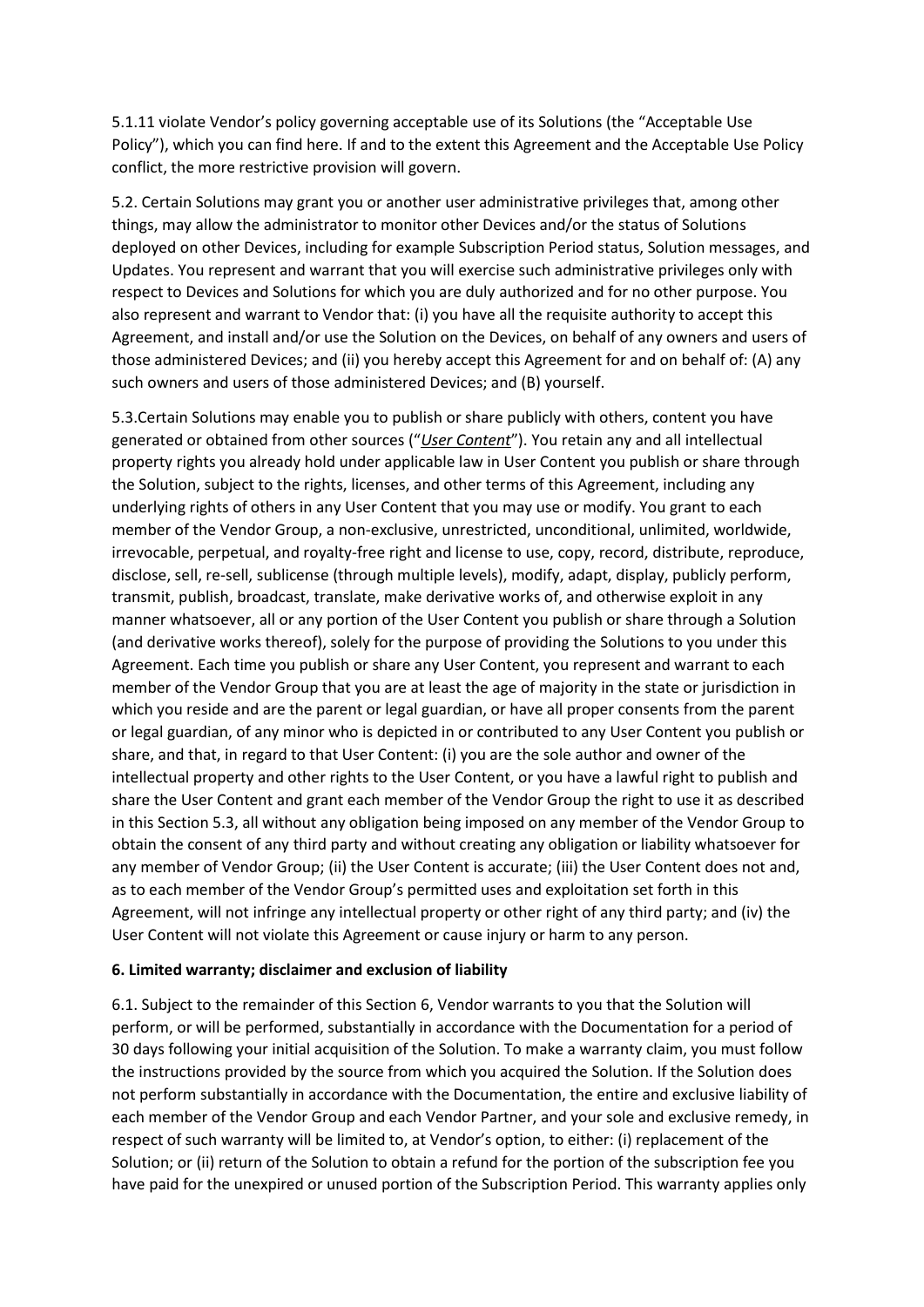5.1.11 violate Vendor's policy governing acceptable use of its Solutions (the "Acceptable Use Policy"), which you can find here. If and to the extent this Agreement and the Acceptable Use Policy conflict, the more restrictive provision will govern.

5.2. Certain Solutions may grant you or another user administrative privileges that, among other things, may allow the administrator to monitor other Devices and/or the status of Solutions deployed on other Devices, including for example Subscription Period status, Solution messages, and Updates. You represent and warrant that you will exercise such administrative privileges only with respect to Devices and Solutions for which you are duly authorized and for no other purpose. You also represent and warrant to Vendor that: (i) you have all the requisite authority to accept this Agreement, and install and/or use the Solution on the Devices, on behalf of any owners and users of those administered Devices; and (ii) you hereby accept this Agreement for and on behalf of: (A) any such owners and users of those administered Devices; and (B) yourself.

5.3.Certain Solutions may enable you to publish or share publicly with others, content you have generated or obtained from other sources ("*User Content*"). You retain any and all intellectual property rights you already hold under applicable law in User Content you publish or share through the Solution, subject to the rights, licenses, and other terms of this Agreement, including any underlying rights of others in any User Content that you may use or modify. You grant to each member of the Vendor Group, a non-exclusive, unrestricted, unconditional, unlimited, worldwide, irrevocable, perpetual, and royalty-free right and license to use, copy, record, distribute, reproduce, disclose, sell, re-sell, sublicense (through multiple levels), modify, adapt, display, publicly perform, transmit, publish, broadcast, translate, make derivative works of, and otherwise exploit in any manner whatsoever, all or any portion of the User Content you publish or share through a Solution (and derivative works thereof), solely for the purpose of providing the Solutions to you under this Agreement. Each time you publish or share any User Content, you represent and warrant to each member of the Vendor Group that you are at least the age of majority in the state or jurisdiction in which you reside and are the parent or legal guardian, or have all proper consents from the parent or legal guardian, of any minor who is depicted in or contributed to any User Content you publish or share, and that, in regard to that User Content: (i) you are the sole author and owner of the intellectual property and other rights to the User Content, or you have a lawful right to publish and share the User Content and grant each member of the Vendor Group the right to use it as described in this Section 5.3, all without any obligation being imposed on any member of the Vendor Group to obtain the consent of any third party and without creating any obligation or liability whatsoever for any member of Vendor Group; (ii) the User Content is accurate; (iii) the User Content does not and, as to each member of the Vendor Group's permitted uses and exploitation set forth in this Agreement, will not infringe any intellectual property or other right of any third party; and (iv) the User Content will not violate this Agreement or cause injury or harm to any person.

#### **6. Limited warranty; disclaimer and exclusion of liability**

6.1. Subject to the remainder of this Section 6, Vendor warrants to you that the Solution will perform, or will be performed, substantially in accordance with the Documentation for a period of 30 days following your initial acquisition of the Solution. To make a warranty claim, you must follow the instructions provided by the source from which you acquired the Solution. If the Solution does not perform substantially in accordance with the Documentation, the entire and exclusive liability of each member of the Vendor Group and each Vendor Partner, and your sole and exclusive remedy, in respect of such warranty will be limited to, at Vendor's option, to either: (i) replacement of the Solution; or (ii) return of the Solution to obtain a refund for the portion of the subscription fee you have paid for the unexpired or unused portion of the Subscription Period. This warranty applies only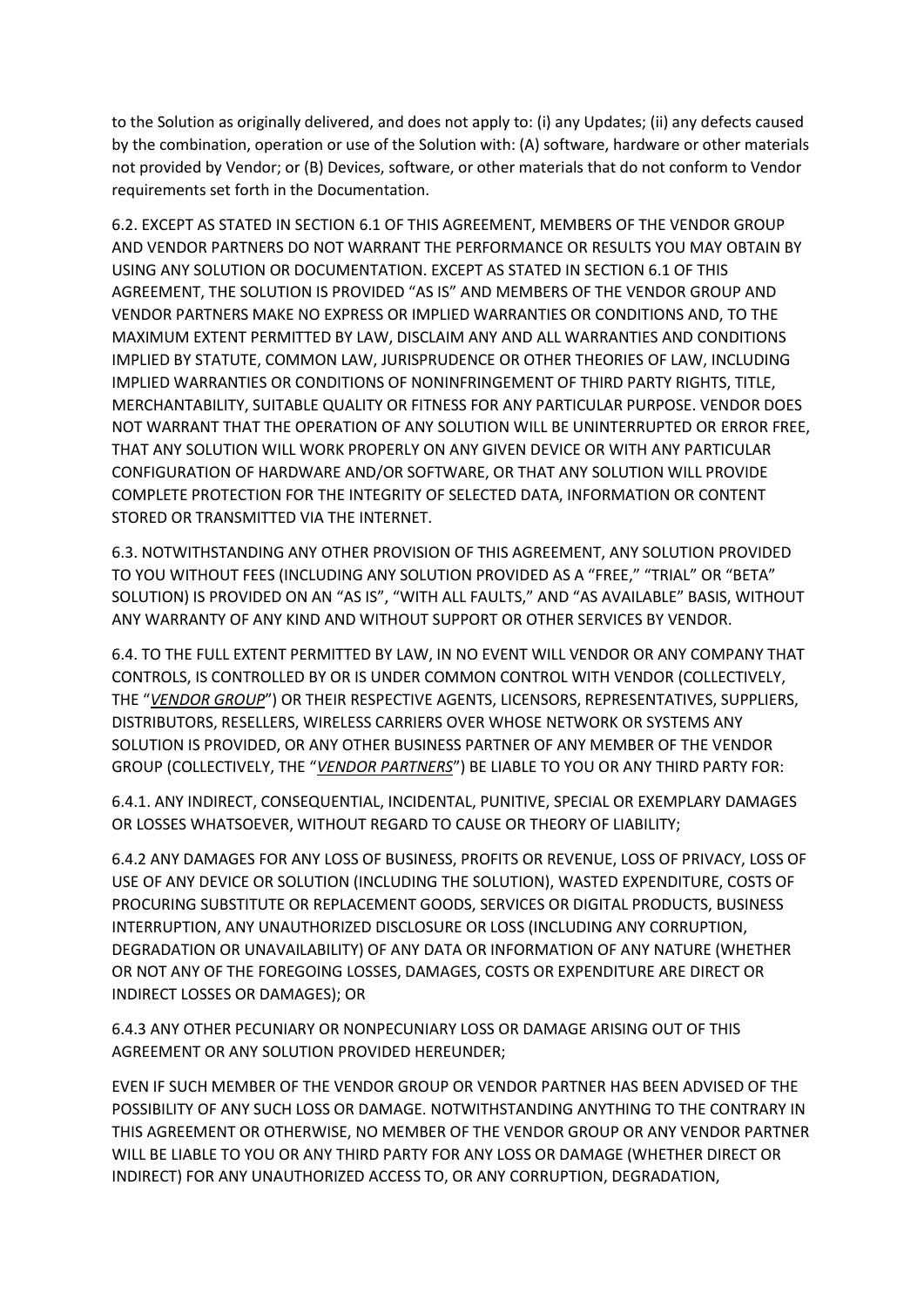to the Solution as originally delivered, and does not apply to: (i) any Updates; (ii) any defects caused by the combination, operation or use of the Solution with: (A) software, hardware or other materials not provided by Vendor; or (B) Devices, software, or other materials that do not conform to Vendor requirements set forth in the Documentation.

6.2. EXCEPT AS STATED IN SECTION 6.1 OF THIS AGREEMENT, MEMBERS OF THE VENDOR GROUP AND VENDOR PARTNERS DO NOT WARRANT THE PERFORMANCE OR RESULTS YOU MAY OBTAIN BY USING ANY SOLUTION OR DOCUMENTATION. EXCEPT AS STATED IN SECTION 6.1 OF THIS AGREEMENT, THE SOLUTION IS PROVIDED "AS IS" AND MEMBERS OF THE VENDOR GROUP AND VENDOR PARTNERS MAKE NO EXPRESS OR IMPLIED WARRANTIES OR CONDITIONS AND, TO THE MAXIMUM EXTENT PERMITTED BY LAW, DISCLAIM ANY AND ALL WARRANTIES AND CONDITIONS IMPLIED BY STATUTE, COMMON LAW, JURISPRUDENCE OR OTHER THEORIES OF LAW, INCLUDING IMPLIED WARRANTIES OR CONDITIONS OF NONINFRINGEMENT OF THIRD PARTY RIGHTS, TITLE, MERCHANTABILITY, SUITABLE QUALITY OR FITNESS FOR ANY PARTICULAR PURPOSE. VENDOR DOES NOT WARRANT THAT THE OPERATION OF ANY SOLUTION WILL BE UNINTERRUPTED OR ERROR FREE, THAT ANY SOLUTION WILL WORK PROPERLY ON ANY GIVEN DEVICE OR WITH ANY PARTICULAR CONFIGURATION OF HARDWARE AND/OR SOFTWARE, OR THAT ANY SOLUTION WILL PROVIDE COMPLETE PROTECTION FOR THE INTEGRITY OF SELECTED DATA, INFORMATION OR CONTENT STORED OR TRANSMITTED VIA THE INTERNET.

6.3. NOTWITHSTANDING ANY OTHER PROVISION OF THIS AGREEMENT, ANY SOLUTION PROVIDED TO YOU WITHOUT FEES (INCLUDING ANY SOLUTION PROVIDED AS A "FREE," "TRIAL" OR "BETA" SOLUTION) IS PROVIDED ON AN "AS IS", "WITH ALL FAULTS," AND "AS AVAILABLE" BASIS, WITHOUT ANY WARRANTY OF ANY KIND AND WITHOUT SUPPORT OR OTHER SERVICES BY VENDOR.

6.4. TO THE FULL EXTENT PERMITTED BY LAW, IN NO EVENT WILL VENDOR OR ANY COMPANY THAT CONTROLS, IS CONTROLLED BY OR IS UNDER COMMON CONTROL WITH VENDOR (COLLECTIVELY, THE "*VENDOR GROUP*") OR THEIR RESPECTIVE AGENTS, LICENSORS, REPRESENTATIVES, SUPPLIERS, DISTRIBUTORS, RESELLERS, WIRELESS CARRIERS OVER WHOSE NETWORK OR SYSTEMS ANY SOLUTION IS PROVIDED, OR ANY OTHER BUSINESS PARTNER OF ANY MEMBER OF THE VENDOR GROUP (COLLECTIVELY, THE "*VENDOR PARTNERS*") BE LIABLE TO YOU OR ANY THIRD PARTY FOR:

6.4.1. ANY INDIRECT, CONSEQUENTIAL, INCIDENTAL, PUNITIVE, SPECIAL OR EXEMPLARY DAMAGES OR LOSSES WHATSOEVER, WITHOUT REGARD TO CAUSE OR THEORY OF LIABILITY;

6.4.2 ANY DAMAGES FOR ANY LOSS OF BUSINESS, PROFITS OR REVENUE, LOSS OF PRIVACY, LOSS OF USE OF ANY DEVICE OR SOLUTION (INCLUDING THE SOLUTION), WASTED EXPENDITURE, COSTS OF PROCURING SUBSTITUTE OR REPLACEMENT GOODS, SERVICES OR DIGITAL PRODUCTS, BUSINESS INTERRUPTION, ANY UNAUTHORIZED DISCLOSURE OR LOSS (INCLUDING ANY CORRUPTION, DEGRADATION OR UNAVAILABILITY) OF ANY DATA OR INFORMATION OF ANY NATURE (WHETHER OR NOT ANY OF THE FOREGOING LOSSES, DAMAGES, COSTS OR EXPENDITURE ARE DIRECT OR INDIRECT LOSSES OR DAMAGES); OR

6.4.3 ANY OTHER PECUNIARY OR NONPECUNIARY LOSS OR DAMAGE ARISING OUT OF THIS AGREEMENT OR ANY SOLUTION PROVIDED HEREUNDER;

EVEN IF SUCH MEMBER OF THE VENDOR GROUP OR VENDOR PARTNER HAS BEEN ADVISED OF THE POSSIBILITY OF ANY SUCH LOSS OR DAMAGE. NOTWITHSTANDING ANYTHING TO THE CONTRARY IN THIS AGREEMENT OR OTHERWISE, NO MEMBER OF THE VENDOR GROUP OR ANY VENDOR PARTNER WILL BE LIABLE TO YOU OR ANY THIRD PARTY FOR ANY LOSS OR DAMAGE (WHETHER DIRECT OR INDIRECT) FOR ANY UNAUTHORIZED ACCESS TO, OR ANY CORRUPTION, DEGRADATION,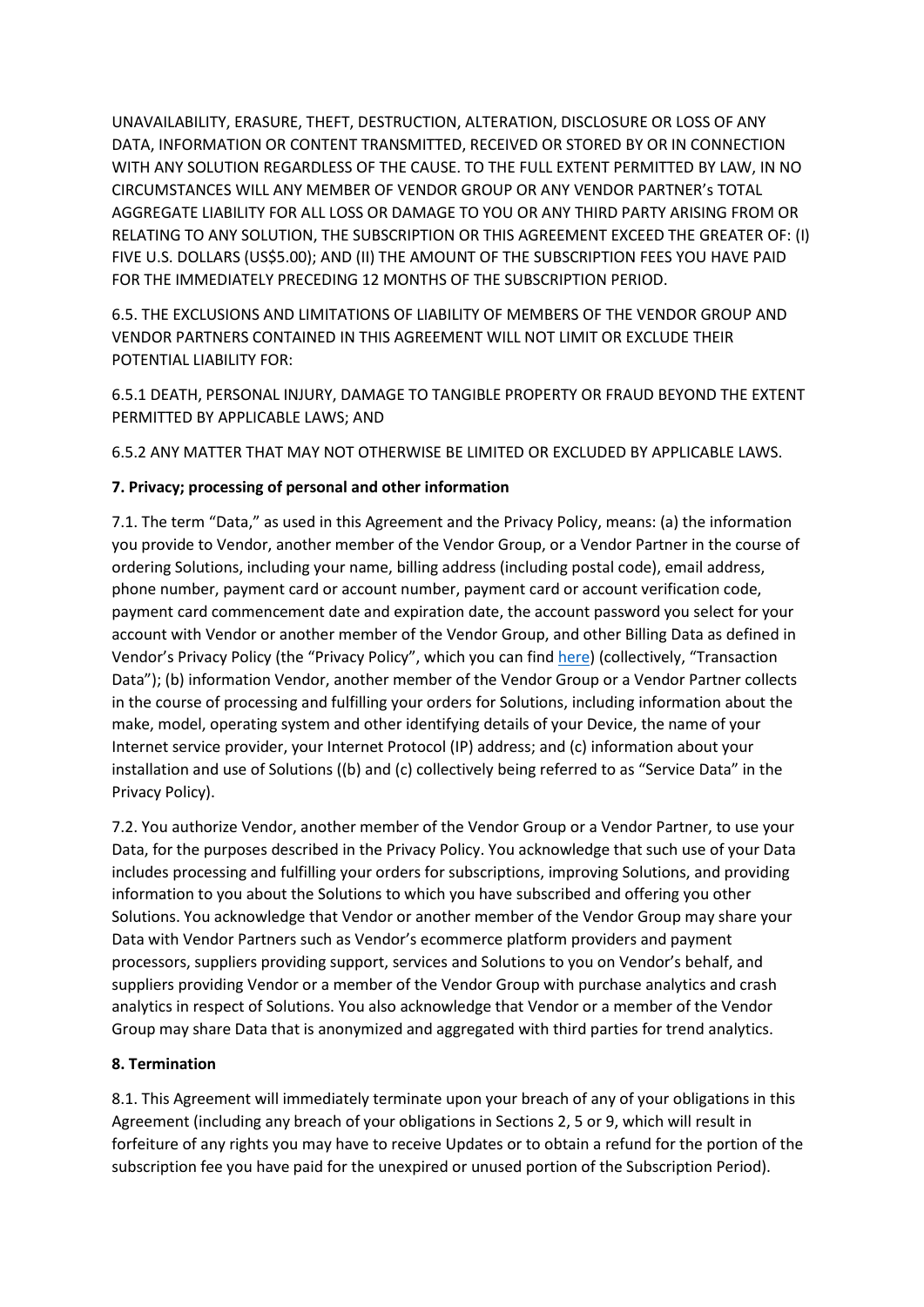UNAVAILABILITY, ERASURE, THEFT, DESTRUCTION, ALTERATION, DISCLOSURE OR LOSS OF ANY DATA, INFORMATION OR CONTENT TRANSMITTED, RECEIVED OR STORED BY OR IN CONNECTION WITH ANY SOLUTION REGARDLESS OF THE CAUSE. TO THE FULL EXTENT PERMITTED BY LAW, IN NO CIRCUMSTANCES WILL ANY MEMBER OF VENDOR GROUP OR ANY VENDOR PARTNER's TOTAL AGGREGATE LIABILITY FOR ALL LOSS OR DAMAGE TO YOU OR ANY THIRD PARTY ARISING FROM OR RELATING TO ANY SOLUTION, THE SUBSCRIPTION OR THIS AGREEMENT EXCEED THE GREATER OF: (I) FIVE U.S. DOLLARS (US\$5.00); AND (II) THE AMOUNT OF THE SUBSCRIPTION FEES YOU HAVE PAID FOR THE IMMEDIATELY PRECEDING 12 MONTHS OF THE SUBSCRIPTION PERIOD.

6.5. THE EXCLUSIONS AND LIMITATIONS OF LIABILITY OF MEMBERS OF THE VENDOR GROUP AND VENDOR PARTNERS CONTAINED IN THIS AGREEMENT WILL NOT LIMIT OR EXCLUDE THEIR POTENTIAL LIABILITY FOR:

6.5.1 DEATH, PERSONAL INJURY, DAMAGE TO TANGIBLE PROPERTY OR FRAUD BEYOND THE EXTENT PERMITTED BY APPLICABLE LAWS; AND

6.5.2 ANY MATTER THAT MAY NOT OTHERWISE BE LIMITED OR EXCLUDED BY APPLICABLE LAWS.

# **7. Privacy; processing of personal and other information**

7.1. The term "Data," as used in this Agreement and the Privacy Policy, means: (a) the information you provide to Vendor, another member of the Vendor Group, or a Vendor Partner in the course of ordering Solutions, including your name, billing address (including postal code), email address, phone number, payment card or account number, payment card or account verification code, payment card commencement date and expiration date, the account password you select for your account with Vendor or another member of the Vendor Group, and other Billing Data as defined in Vendor's Privacy Policy (the "Privacy Policy", which you can fin[d here](https://www.ccleaner.com/about/privacy-policy)) (collectively, "Transaction Data"); (b) information Vendor, another member of the Vendor Group or a Vendor Partner collects in the course of processing and fulfilling your orders for Solutions, including information about the make, model, operating system and other identifying details of your Device, the name of your Internet service provider, your Internet Protocol (IP) address; and (c) information about your installation and use of Solutions ((b) and (c) collectively being referred to as "Service Data" in the Privacy Policy).

7.2. You authorize Vendor, another member of the Vendor Group or a Vendor Partner, to use your Data, for the purposes described in the Privacy Policy. You acknowledge that such use of your Data includes processing and fulfilling your orders for subscriptions, improving Solutions, and providing information to you about the Solutions to which you have subscribed and offering you other Solutions. You acknowledge that Vendor or another member of the Vendor Group may share your Data with Vendor Partners such as Vendor's ecommerce platform providers and payment processors, suppliers providing support, services and Solutions to you on Vendor's behalf, and suppliers providing Vendor or a member of the Vendor Group with purchase analytics and crash analytics in respect of Solutions. You also acknowledge that Vendor or a member of the Vendor Group may share Data that is anonymized and aggregated with third parties for trend analytics.

# **8. Termination**

8.1. This Agreement will immediately terminate upon your breach of any of your obligations in this Agreement (including any breach of your obligations in Sections 2, 5 or 9, which will result in forfeiture of any rights you may have to receive Updates or to obtain a refund for the portion of the subscription fee you have paid for the unexpired or unused portion of the Subscription Period).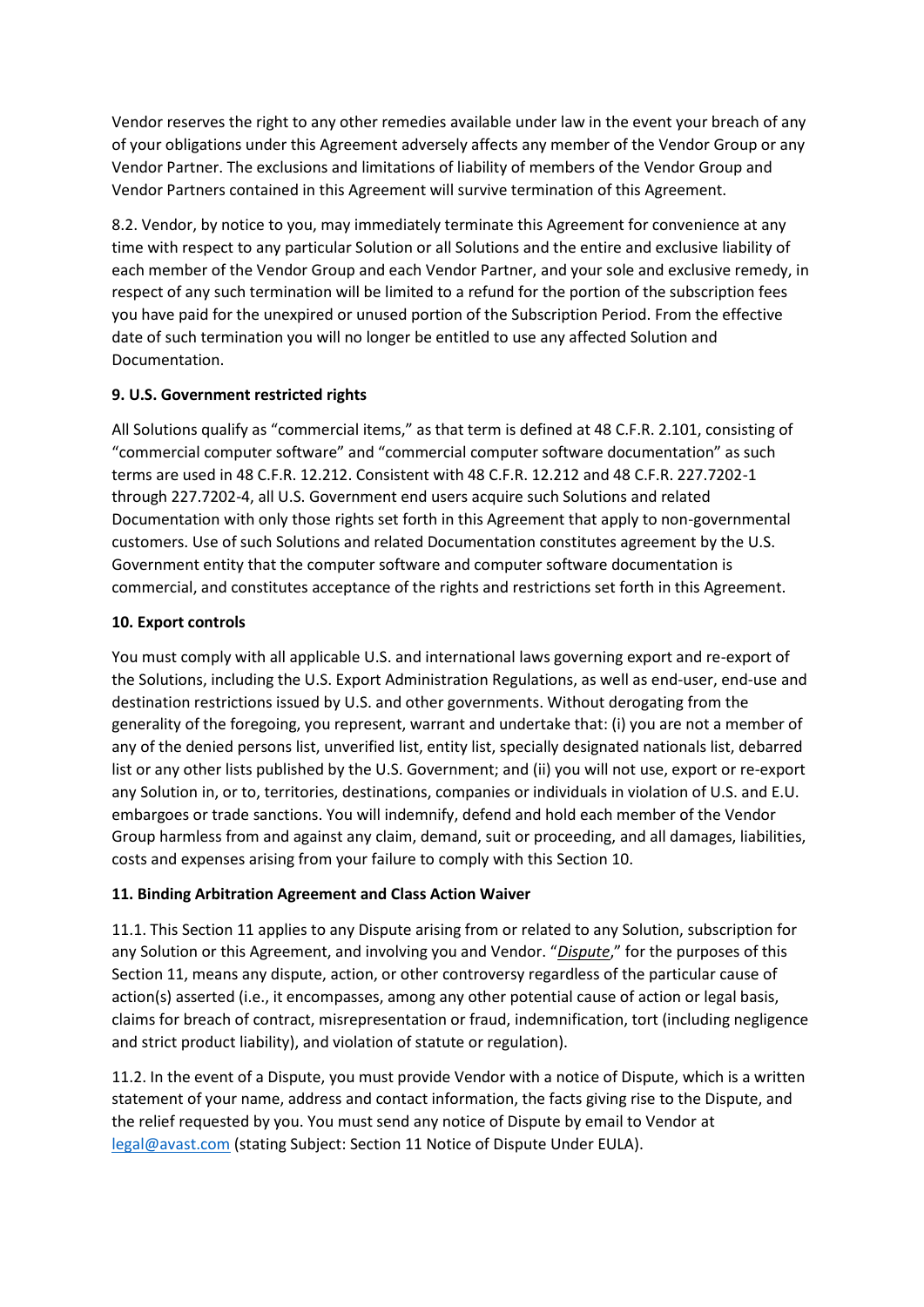Vendor reserves the right to any other remedies available under law in the event your breach of any of your obligations under this Agreement adversely affects any member of the Vendor Group or any Vendor Partner. The exclusions and limitations of liability of members of the Vendor Group and Vendor Partners contained in this Agreement will survive termination of this Agreement.

8.2. Vendor, by notice to you, may immediately terminate this Agreement for convenience at any time with respect to any particular Solution or all Solutions and the entire and exclusive liability of each member of the Vendor Group and each Vendor Partner, and your sole and exclusive remedy, in respect of any such termination will be limited to a refund for the portion of the subscription fees you have paid for the unexpired or unused portion of the Subscription Period. From the effective date of such termination you will no longer be entitled to use any affected Solution and Documentation.

# **9. U.S. Government restricted rights**

All Solutions qualify as "commercial items," as that term is defined at 48 C.F.R. 2.101, consisting of "commercial computer software" and "commercial computer software documentation" as such terms are used in 48 C.F.R. 12.212. Consistent with 48 C.F.R. 12.212 and 48 C.F.R. 227.7202-1 through 227.7202-4, all U.S. Government end users acquire such Solutions and related Documentation with only those rights set forth in this Agreement that apply to non-governmental customers. Use of such Solutions and related Documentation constitutes agreement by the U.S. Government entity that the computer software and computer software documentation is commercial, and constitutes acceptance of the rights and restrictions set forth in this Agreement.

#### **10. Export controls**

You must comply with all applicable U.S. and international laws governing export and re-export of the Solutions, including the U.S. Export Administration Regulations, as well as end-user, end-use and destination restrictions issued by U.S. and other governments. Without derogating from the generality of the foregoing, you represent, warrant and undertake that: (i) you are not a member of any of the denied persons list, unverified list, entity list, specially designated nationals list, debarred list or any other lists published by the U.S. Government; and (ii) you will not use, export or re-export any Solution in, or to, territories, destinations, companies or individuals in violation of U.S. and E.U. embargoes or trade sanctions. You will indemnify, defend and hold each member of the Vendor Group harmless from and against any claim, demand, suit or proceeding, and all damages, liabilities, costs and expenses arising from your failure to comply with this Section 10.

# **11. Binding Arbitration Agreement and Class Action Waiver**

11.1. This Section 11 applies to any Dispute arising from or related to any Solution, subscription for any Solution or this Agreement, and involving you and Vendor. "*Dispute*," for the purposes of this Section 11, means any dispute, action, or other controversy regardless of the particular cause of action(s) asserted (i.e., it encompasses, among any other potential cause of action or legal basis, claims for breach of contract, misrepresentation or fraud, indemnification, tort (including negligence and strict product liability), and violation of statute or regulation).

11.2. In the event of a Dispute, you must provide Vendor with a notice of Dispute, which is a written statement of your name, address and contact information, the facts giving rise to the Dispute, and the relief requested by you. You must send any notice of Dispute by email to Vendor at [legal@avast.com](mailto:legal@avast.com) (stating Subject: Section 11 Notice of Dispute Under EULA).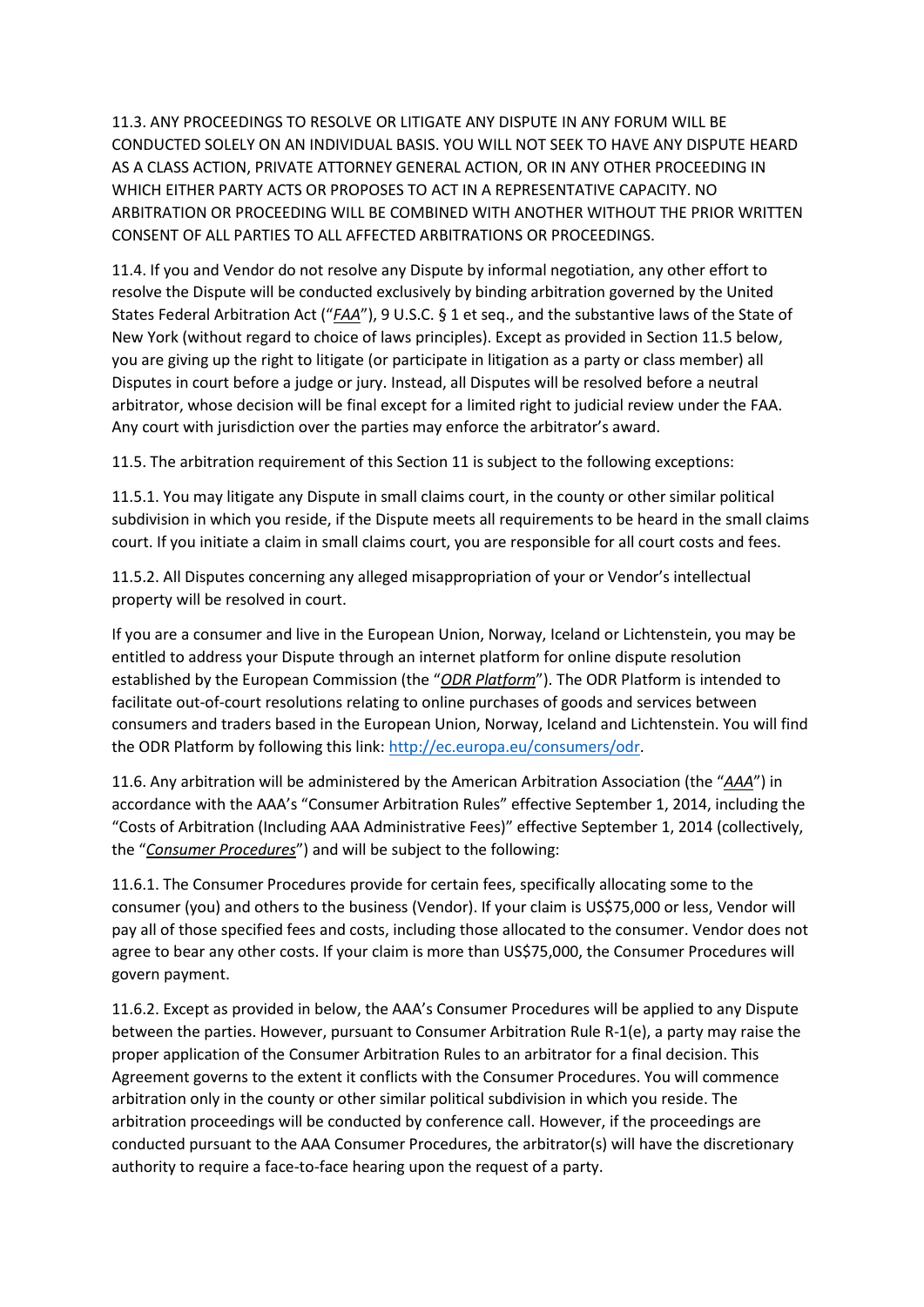11.3. ANY PROCEEDINGS TO RESOLVE OR LITIGATE ANY DISPUTE IN ANY FORUM WILL BE CONDUCTED SOLELY ON AN INDIVIDUAL BASIS. YOU WILL NOT SEEK TO HAVE ANY DISPUTE HEARD AS A CLASS ACTION, PRIVATE ATTORNEY GENERAL ACTION, OR IN ANY OTHER PROCEEDING IN WHICH EITHER PARTY ACTS OR PROPOSES TO ACT IN A REPRESENTATIVE CAPACITY. NO ARBITRATION OR PROCEEDING WILL BE COMBINED WITH ANOTHER WITHOUT THE PRIOR WRITTEN CONSENT OF ALL PARTIES TO ALL AFFECTED ARBITRATIONS OR PROCEEDINGS.

11.4. If you and Vendor do not resolve any Dispute by informal negotiation, any other effort to resolve the Dispute will be conducted exclusively by binding arbitration governed by the United States Federal Arbitration Act ("*FAA*"), 9 U.S.C. § 1 et seq., and the substantive laws of the State of New York (without regard to choice of laws principles). Except as provided in Section 11.5 below, you are giving up the right to litigate (or participate in litigation as a party or class member) all Disputes in court before a judge or jury. Instead, all Disputes will be resolved before a neutral arbitrator, whose decision will be final except for a limited right to judicial review under the FAA. Any court with jurisdiction over the parties may enforce the arbitrator's award.

11.5. The arbitration requirement of this Section 11 is subject to the following exceptions:

11.5.1. You may litigate any Dispute in small claims court, in the county or other similar political subdivision in which you reside, if the Dispute meets all requirements to be heard in the small claims court. If you initiate a claim in small claims court, you are responsible for all court costs and fees.

11.5.2. All Disputes concerning any alleged misappropriation of your or Vendor's intellectual property will be resolved in court.

If you are a consumer and live in the European Union, Norway, Iceland or Lichtenstein, you may be entitled to address your Dispute through an internet platform for online dispute resolution established by the European Commission (the "*ODR Platform*"). The ODR Platform is intended to facilitate out-of-court resolutions relating to online purchases of goods and services between consumers and traders based in the European Union, Norway, Iceland and Lichtenstein. You will find the ODR Platform by following this link[: http://ec.europa.eu/consumers/odr.](http://ec.europa.eu/consumers/odr)

11.6. Any arbitration will be administered by the American Arbitration Association (the "*AAA*") in accordance with the AAA's "Consumer Arbitration Rules" effective September 1, 2014, including the "Costs of Arbitration (Including AAA Administrative Fees)" effective September 1, 2014 (collectively, the "*Consumer Procedures*") and will be subject to the following:

11.6.1. The Consumer Procedures provide for certain fees, specifically allocating some to the consumer (you) and others to the business (Vendor). If your claim is US\$75,000 or less, Vendor will pay all of those specified fees and costs, including those allocated to the consumer. Vendor does not agree to bear any other costs. If your claim is more than US\$75,000, the Consumer Procedures will govern payment.

11.6.2. Except as provided in below, the AAA's Consumer Procedures will be applied to any Dispute between the parties. However, pursuant to Consumer Arbitration Rule R-1(e), a party may raise the proper application of the Consumer Arbitration Rules to an arbitrator for a final decision. This Agreement governs to the extent it conflicts with the Consumer Procedures. You will commence arbitration only in the county or other similar political subdivision in which you reside. The arbitration proceedings will be conducted by conference call. However, if the proceedings are conducted pursuant to the AAA Consumer Procedures, the arbitrator(s) will have the discretionary authority to require a face-to-face hearing upon the request of a party.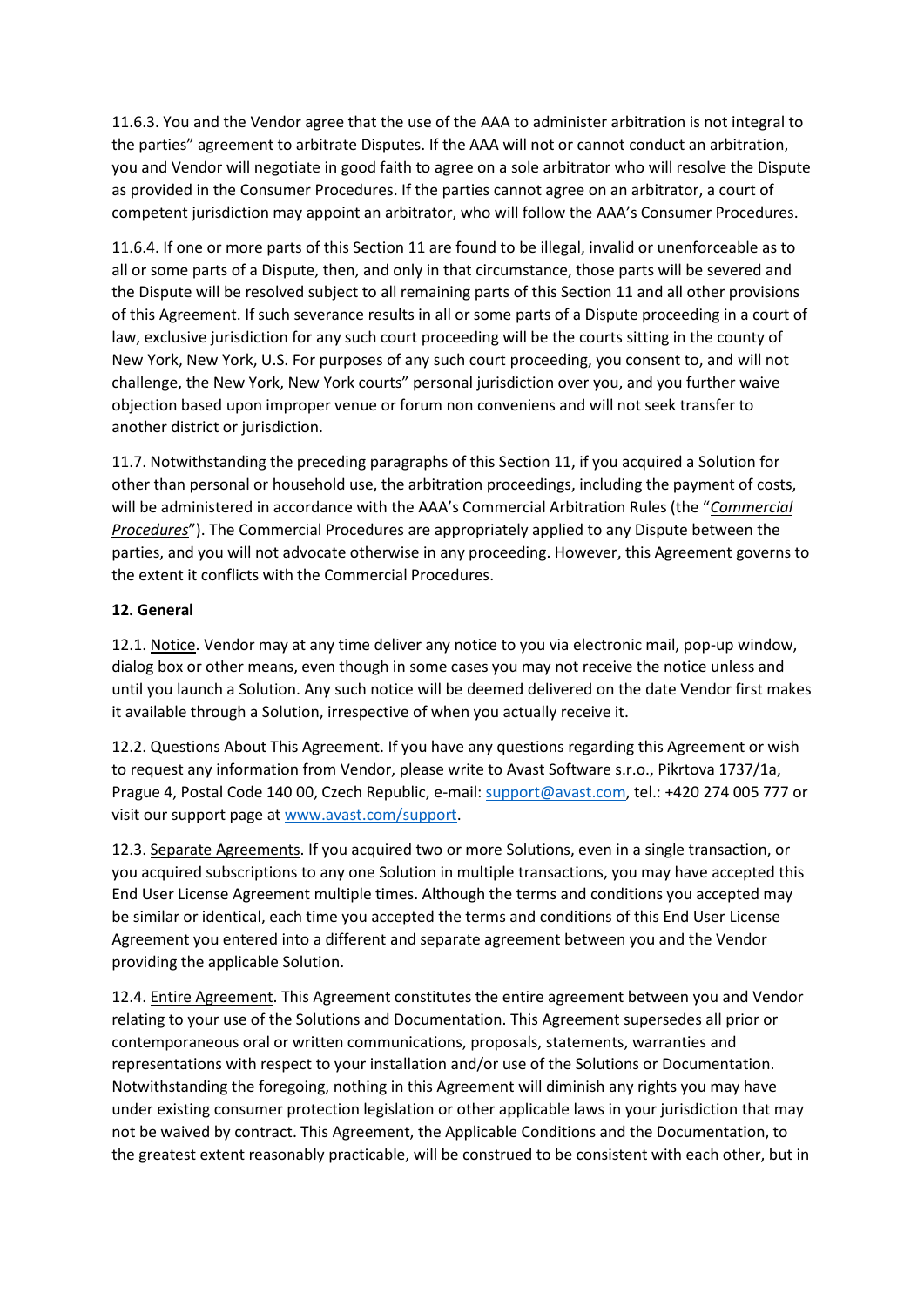11.6.3. You and the Vendor agree that the use of the AAA to administer arbitration is not integral to the parties" agreement to arbitrate Disputes. If the AAA will not or cannot conduct an arbitration, you and Vendor will negotiate in good faith to agree on a sole arbitrator who will resolve the Dispute as provided in the Consumer Procedures. If the parties cannot agree on an arbitrator, a court of competent jurisdiction may appoint an arbitrator, who will follow the AAA's Consumer Procedures.

11.6.4. If one or more parts of this Section 11 are found to be illegal, invalid or unenforceable as to all or some parts of a Dispute, then, and only in that circumstance, those parts will be severed and the Dispute will be resolved subject to all remaining parts of this Section 11 and all other provisions of this Agreement. If such severance results in all or some parts of a Dispute proceeding in a court of law, exclusive jurisdiction for any such court proceeding will be the courts sitting in the county of New York, New York, U.S. For purposes of any such court proceeding, you consent to, and will not challenge, the New York, New York courts" personal jurisdiction over you, and you further waive objection based upon improper venue or forum non conveniens and will not seek transfer to another district or jurisdiction.

11.7. Notwithstanding the preceding paragraphs of this Section 11, if you acquired a Solution for other than personal or household use, the arbitration proceedings, including the payment of costs, will be administered in accordance with the AAA's Commercial Arbitration Rules (the "*Commercial Procedures*"). The Commercial Procedures are appropriately applied to any Dispute between the parties, and you will not advocate otherwise in any proceeding. However, this Agreement governs to the extent it conflicts with the Commercial Procedures.

# **12. General**

12.1. Notice. Vendor may at any time deliver any notice to you via electronic mail, pop-up window, dialog box or other means, even though in some cases you may not receive the notice unless and until you launch a Solution. Any such notice will be deemed delivered on the date Vendor first makes it available through a Solution, irrespective of when you actually receive it.

12.2. Questions About This Agreement. If you have any questions regarding this Agreement or wish to request any information from Vendor, please write to Avast Software s.r.o., Pikrtova 1737/1a, Prague 4, Postal Code 140 00, Czech Republic, e-mail: [support@avast.com,](mailto:support@avast.com) tel.: +420 274 005 777 or visit our support page a[t www.avast.com/support.](http://www.avast.com/support)

12.3. Separate Agreements. If you acquired two or more Solutions, even in a single transaction, or you acquired subscriptions to any one Solution in multiple transactions, you may have accepted this End User License Agreement multiple times. Although the terms and conditions you accepted may be similar or identical, each time you accepted the terms and conditions of this End User License Agreement you entered into a different and separate agreement between you and the Vendor providing the applicable Solution.

12.4. Entire Agreement. This Agreement constitutes the entire agreement between you and Vendor relating to your use of the Solutions and Documentation. This Agreement supersedes all prior or contemporaneous oral or written communications, proposals, statements, warranties and representations with respect to your installation and/or use of the Solutions or Documentation. Notwithstanding the foregoing, nothing in this Agreement will diminish any rights you may have under existing consumer protection legislation or other applicable laws in your jurisdiction that may not be waived by contract. This Agreement, the Applicable Conditions and the Documentation, to the greatest extent reasonably practicable, will be construed to be consistent with each other, but in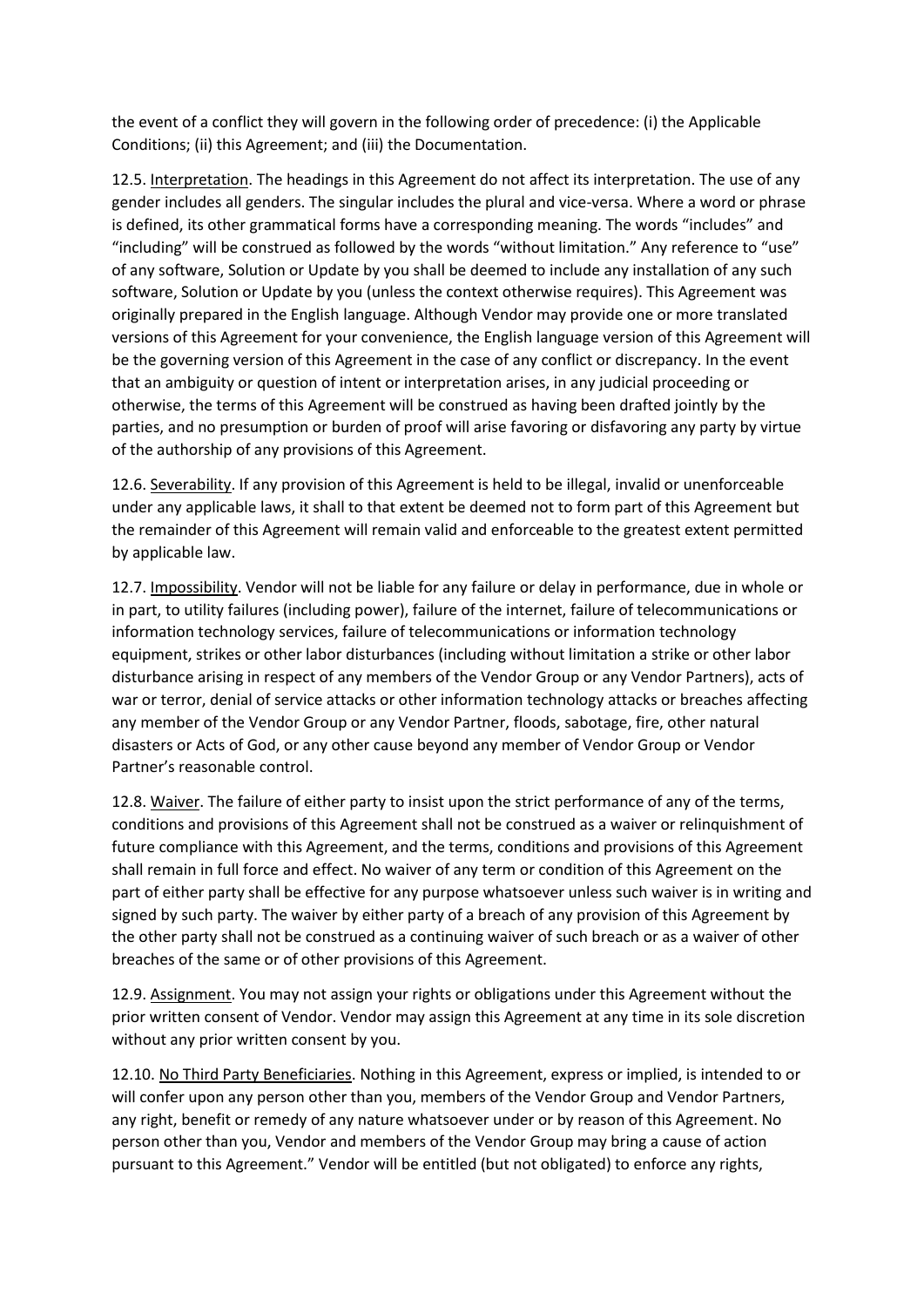the event of a conflict they will govern in the following order of precedence: (i) the Applicable Conditions; (ii) this Agreement; and (iii) the Documentation.

12.5. Interpretation. The headings in this Agreement do not affect its interpretation. The use of any gender includes all genders. The singular includes the plural and vice-versa. Where a word or phrase is defined, its other grammatical forms have a corresponding meaning. The words "includes" and "including" will be construed as followed by the words "without limitation." Any reference to "use" of any software, Solution or Update by you shall be deemed to include any installation of any such software, Solution or Update by you (unless the context otherwise requires). This Agreement was originally prepared in the English language. Although Vendor may provide one or more translated versions of this Agreement for your convenience, the English language version of this Agreement will be the governing version of this Agreement in the case of any conflict or discrepancy. In the event that an ambiguity or question of intent or interpretation arises, in any judicial proceeding or otherwise, the terms of this Agreement will be construed as having been drafted jointly by the parties, and no presumption or burden of proof will arise favoring or disfavoring any party by virtue of the authorship of any provisions of this Agreement.

12.6. Severability. If any provision of this Agreement is held to be illegal, invalid or unenforceable under any applicable laws, it shall to that extent be deemed not to form part of this Agreement but the remainder of this Agreement will remain valid and enforceable to the greatest extent permitted by applicable law.

12.7. Impossibility. Vendor will not be liable for any failure or delay in performance, due in whole or in part, to utility failures (including power), failure of the internet, failure of telecommunications or information technology services, failure of telecommunications or information technology equipment, strikes or other labor disturbances (including without limitation a strike or other labor disturbance arising in respect of any members of the Vendor Group or any Vendor Partners), acts of war or terror, denial of service attacks or other information technology attacks or breaches affecting any member of the Vendor Group or any Vendor Partner, floods, sabotage, fire, other natural disasters or Acts of God, or any other cause beyond any member of Vendor Group or Vendor Partner's reasonable control.

12.8. Waiver. The failure of either party to insist upon the strict performance of any of the terms, conditions and provisions of this Agreement shall not be construed as a waiver or relinquishment of future compliance with this Agreement, and the terms, conditions and provisions of this Agreement shall remain in full force and effect. No waiver of any term or condition of this Agreement on the part of either party shall be effective for any purpose whatsoever unless such waiver is in writing and signed by such party. The waiver by either party of a breach of any provision of this Agreement by the other party shall not be construed as a continuing waiver of such breach or as a waiver of other breaches of the same or of other provisions of this Agreement.

12.9. Assignment. You may not assign your rights or obligations under this Agreement without the prior written consent of Vendor. Vendor may assign this Agreement at any time in its sole discretion without any prior written consent by you.

12.10. No Third Party Beneficiaries. Nothing in this Agreement, express or implied, is intended to or will confer upon any person other than you, members of the Vendor Group and Vendor Partners, any right, benefit or remedy of any nature whatsoever under or by reason of this Agreement. No person other than you, Vendor and members of the Vendor Group may bring a cause of action pursuant to this Agreement." Vendor will be entitled (but not obligated) to enforce any rights,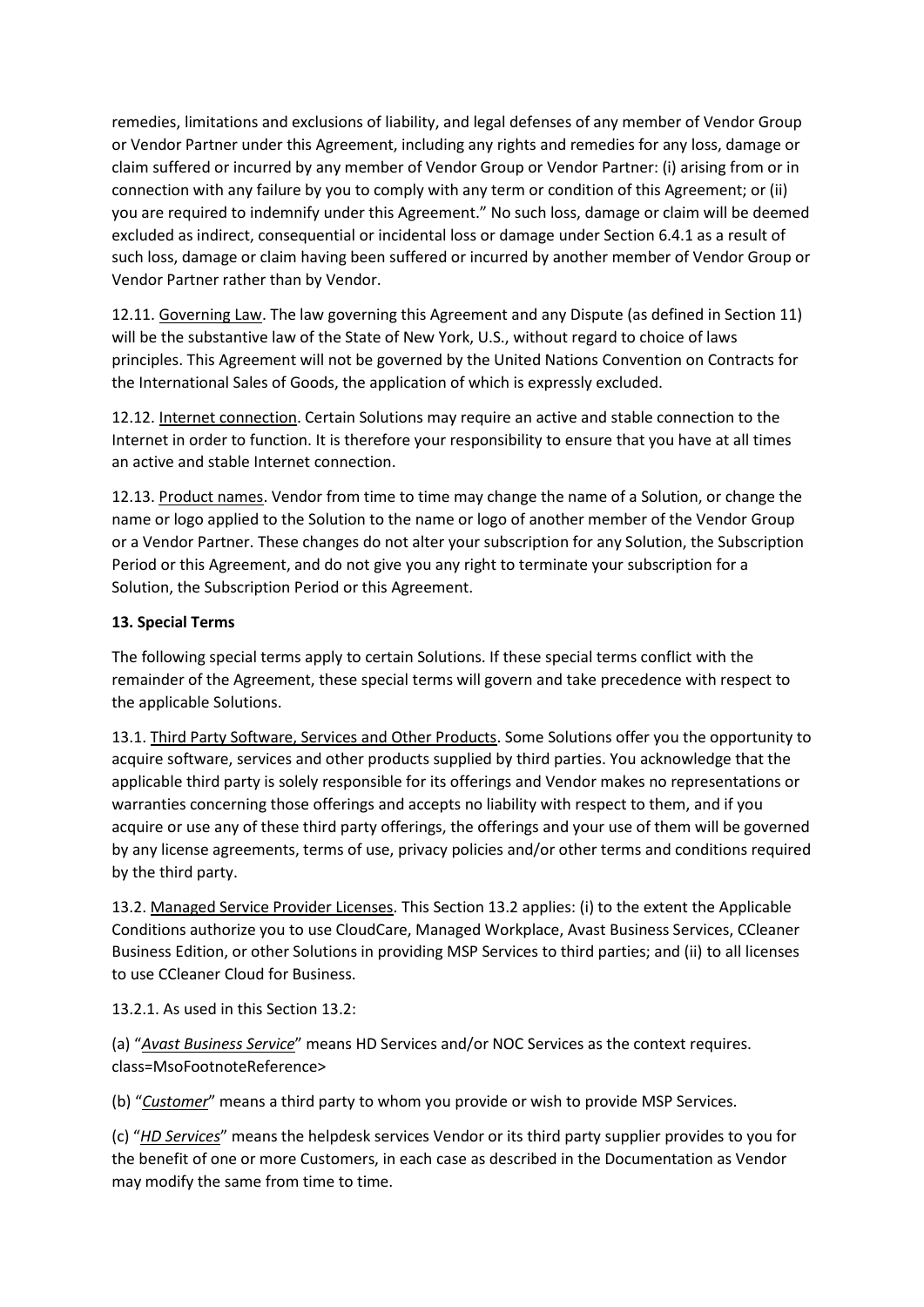remedies, limitations and exclusions of liability, and legal defenses of any member of Vendor Group or Vendor Partner under this Agreement, including any rights and remedies for any loss, damage or claim suffered or incurred by any member of Vendor Group or Vendor Partner: (i) arising from or in connection with any failure by you to comply with any term or condition of this Agreement; or (ii) you are required to indemnify under this Agreement." No such loss, damage or claim will be deemed excluded as indirect, consequential or incidental loss or damage under Section 6.4.1 as a result of such loss, damage or claim having been suffered or incurred by another member of Vendor Group or Vendor Partner rather than by Vendor.

12.11. Governing Law. The law governing this Agreement and any Dispute (as defined in Section 11) will be the substantive law of the State of New York, U.S., without regard to choice of laws principles. This Agreement will not be governed by the United Nations Convention on Contracts for the International Sales of Goods, the application of which is expressly excluded.

12.12. Internet connection. Certain Solutions may require an active and stable connection to the Internet in order to function. It is therefore your responsibility to ensure that you have at all times an active and stable Internet connection.

12.13. Product names. Vendor from time to time may change the name of a Solution, or change the name or logo applied to the Solution to the name or logo of another member of the Vendor Group or a Vendor Partner. These changes do not alter your subscription for any Solution, the Subscription Period or this Agreement, and do not give you any right to terminate your subscription for a Solution, the Subscription Period or this Agreement.

# **13. Special Terms**

The following special terms apply to certain Solutions. If these special terms conflict with the remainder of the Agreement, these special terms will govern and take precedence with respect to the applicable Solutions.

13.1. Third Party Software, Services and Other Products. Some Solutions offer you the opportunity to acquire software, services and other products supplied by third parties. You acknowledge that the applicable third party is solely responsible for its offerings and Vendor makes no representations or warranties concerning those offerings and accepts no liability with respect to them, and if you acquire or use any of these third party offerings, the offerings and your use of them will be governed by any license agreements, terms of use, privacy policies and/or other terms and conditions required by the third party.

13.2. Managed Service Provider Licenses. This Section 13.2 applies: (i) to the extent the Applicable Conditions authorize you to use CloudCare, Managed Workplace, Avast Business Services, CCleaner Business Edition, or other Solutions in providing MSP Services to third parties; and (ii) to all licenses to use CCleaner Cloud for Business.

13.2.1. As used in this Section 13.2:

(a) "*Avast Business Service*" means HD Services and/or NOC Services as the context requires. class=MsoFootnoteReference>

(b) "*Customer*" means a third party to whom you provide or wish to provide MSP Services.

(c) "*HD Services*" means the helpdesk services Vendor or its third party supplier provides to you for the benefit of one or more Customers, in each case as described in the Documentation as Vendor may modify the same from time to time.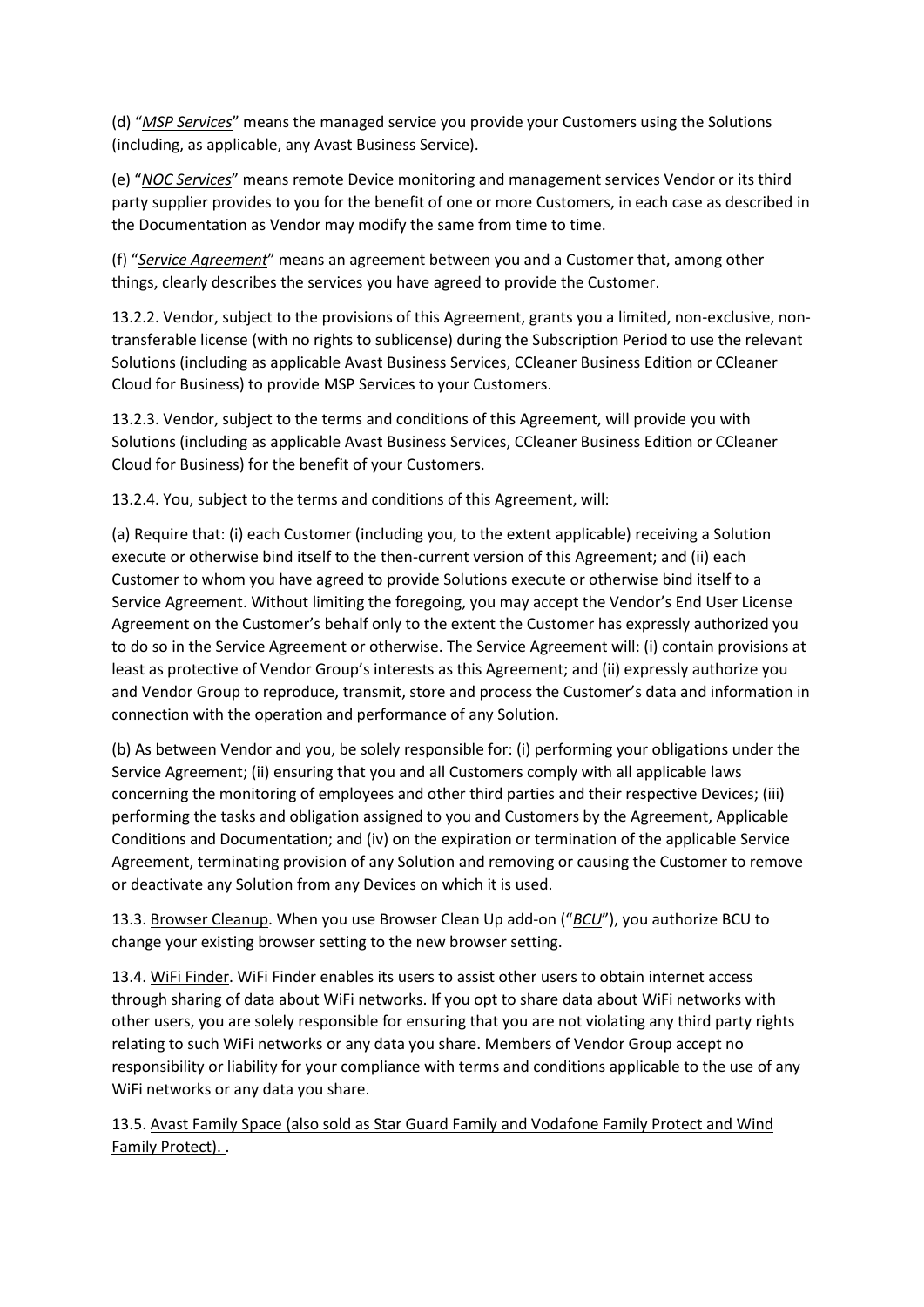(d) "*MSP Services*" means the managed service you provide your Customers using the Solutions (including, as applicable, any Avast Business Service).

(e) "*NOC Services*" means remote Device monitoring and management services Vendor or its third party supplier provides to you for the benefit of one or more Customers, in each case as described in the Documentation as Vendor may modify the same from time to time.

(f) "*Service Agreement*" means an agreement between you and a Customer that, among other things, clearly describes the services you have agreed to provide the Customer.

13.2.2. Vendor, subject to the provisions of this Agreement, grants you a limited, non-exclusive, nontransferable license (with no rights to sublicense) during the Subscription Period to use the relevant Solutions (including as applicable Avast Business Services, CCleaner Business Edition or CCleaner Cloud for Business) to provide MSP Services to your Customers.

13.2.3. Vendor, subject to the terms and conditions of this Agreement, will provide you with Solutions (including as applicable Avast Business Services, CCleaner Business Edition or CCleaner Cloud for Business) for the benefit of your Customers.

13.2.4. You, subject to the terms and conditions of this Agreement, will:

(a) Require that: (i) each Customer (including you, to the extent applicable) receiving a Solution execute or otherwise bind itself to the then-current version of this Agreement; and (ii) each Customer to whom you have agreed to provide Solutions execute or otherwise bind itself to a Service Agreement. Without limiting the foregoing, you may accept the Vendor's End User License Agreement on the Customer's behalf only to the extent the Customer has expressly authorized you to do so in the Service Agreement or otherwise. The Service Agreement will: (i) contain provisions at least as protective of Vendor Group's interests as this Agreement; and (ii) expressly authorize you and Vendor Group to reproduce, transmit, store and process the Customer's data and information in connection with the operation and performance of any Solution.

(b) As between Vendor and you, be solely responsible for: (i) performing your obligations under the Service Agreement; (ii) ensuring that you and all Customers comply with all applicable laws concerning the monitoring of employees and other third parties and their respective Devices; (iii) performing the tasks and obligation assigned to you and Customers by the Agreement, Applicable Conditions and Documentation; and (iv) on the expiration or termination of the applicable Service Agreement, terminating provision of any Solution and removing or causing the Customer to remove or deactivate any Solution from any Devices on which it is used.

13.3. Browser Cleanup. When you use Browser Clean Up add-on ("*BCU*"), you authorize BCU to change your existing browser setting to the new browser setting.

13.4. WiFi Finder. WiFi Finder enables its users to assist other users to obtain internet access through sharing of data about WiFi networks. If you opt to share data about WiFi networks with other users, you are solely responsible for ensuring that you are not violating any third party rights relating to such WiFi networks or any data you share. Members of Vendor Group accept no responsibility or liability for your compliance with terms and conditions applicable to the use of any WiFi networks or any data you share.

13.5. Avast Family Space (also sold as Star Guard Family and Vodafone Family Protect and Wind Family Protect). .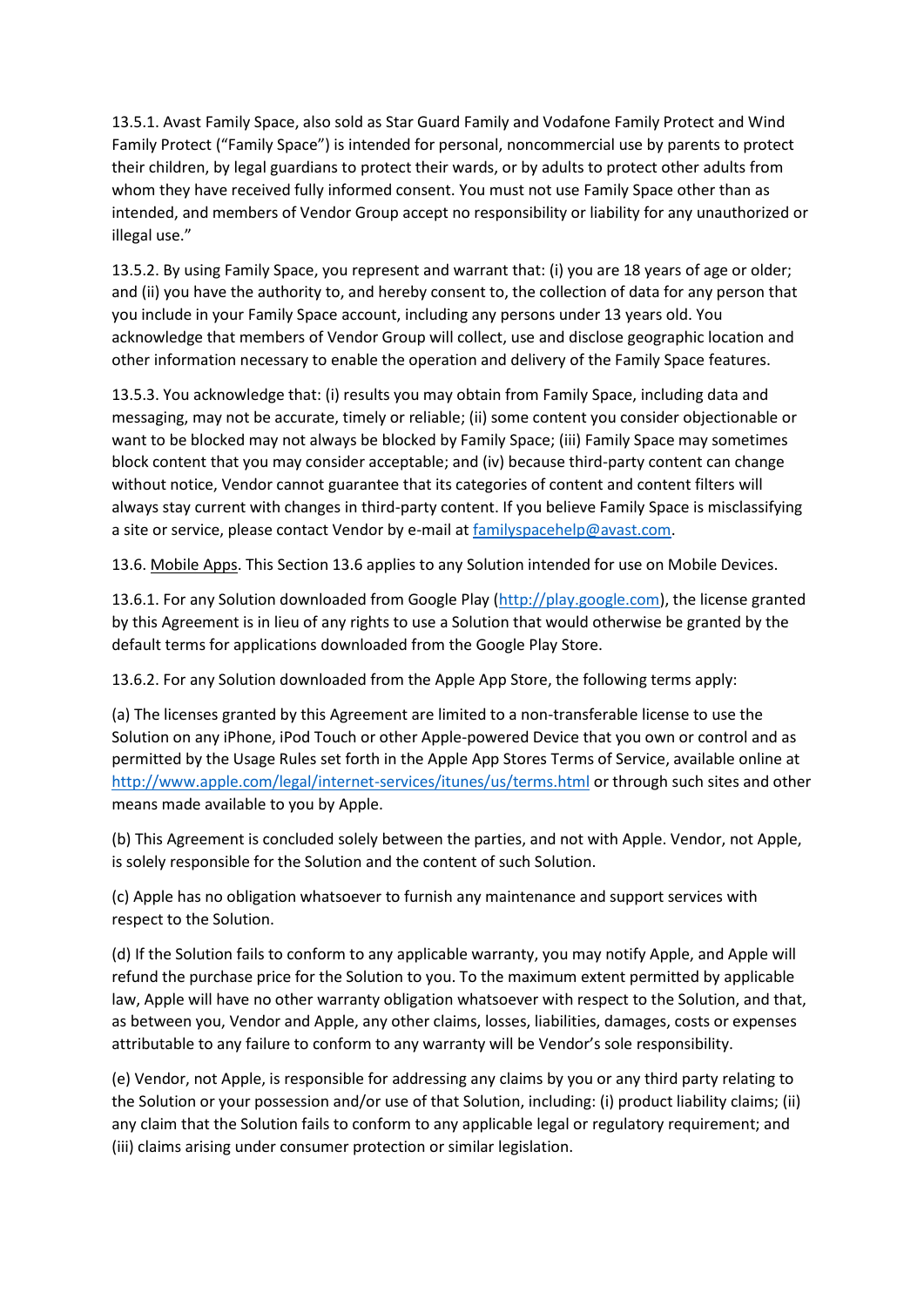13.5.1. Avast Family Space, also sold as Star Guard Family and Vodafone Family Protect and Wind Family Protect ("Family Space") is intended for personal, noncommercial use by parents to protect their children, by legal guardians to protect their wards, or by adults to protect other adults from whom they have received fully informed consent. You must not use Family Space other than as intended, and members of Vendor Group accept no responsibility or liability for any unauthorized or illegal use."

13.5.2. By using Family Space, you represent and warrant that: (i) you are 18 years of age or older; and (ii) you have the authority to, and hereby consent to, the collection of data for any person that you include in your Family Space account, including any persons under 13 years old. You acknowledge that members of Vendor Group will collect, use and disclose geographic location and other information necessary to enable the operation and delivery of the Family Space features.

13.5.3. You acknowledge that: (i) results you may obtain from Family Space, including data and messaging, may not be accurate, timely or reliable; (ii) some content you consider objectionable or want to be blocked may not always be blocked by Family Space; (iii) Family Space may sometimes block content that you may consider acceptable; and (iv) because third-party content can change without notice, Vendor cannot guarantee that its categories of content and content filters will always stay current with changes in third-party content. If you believe Family Space is misclassifying a site or service, please contact Vendor by e-mail a[t familyspacehelp@avast.com.](mailto:familyshieldhelp@avast.com)

13.6. Mobile Apps. This Section 13.6 applies to any Solution intended for use on Mobile Devices.

13.6.1. For any Solution downloaded from Google Play [\(http://play.google.com\)](http://play.google.com/), the license granted by this Agreement is in lieu of any rights to use a Solution that would otherwise be granted by the default terms for applications downloaded from the Google Play Store.

13.6.2. For any Solution downloaded from the Apple App Store, the following terms apply:

(a) The licenses granted by this Agreement are limited to a non-transferable license to use the Solution on any iPhone, iPod Touch or other Apple-powered Device that you own or control and as permitted by the Usage Rules set forth in the Apple App Stores Terms of Service, available online at <http://www.apple.com/legal/internet-services/itunes/us/terms.html> or through such sites and other means made available to you by Apple.

(b) This Agreement is concluded solely between the parties, and not with Apple. Vendor, not Apple, is solely responsible for the Solution and the content of such Solution.

(c) Apple has no obligation whatsoever to furnish any maintenance and support services with respect to the Solution.

(d) If the Solution fails to conform to any applicable warranty, you may notify Apple, and Apple will refund the purchase price for the Solution to you. To the maximum extent permitted by applicable law, Apple will have no other warranty obligation whatsoever with respect to the Solution, and that, as between you, Vendor and Apple, any other claims, losses, liabilities, damages, costs or expenses attributable to any failure to conform to any warranty will be Vendor's sole responsibility.

(e) Vendor, not Apple, is responsible for addressing any claims by you or any third party relating to the Solution or your possession and/or use of that Solution, including: (i) product liability claims; (ii) any claim that the Solution fails to conform to any applicable legal or regulatory requirement; and (iii) claims arising under consumer protection or similar legislation.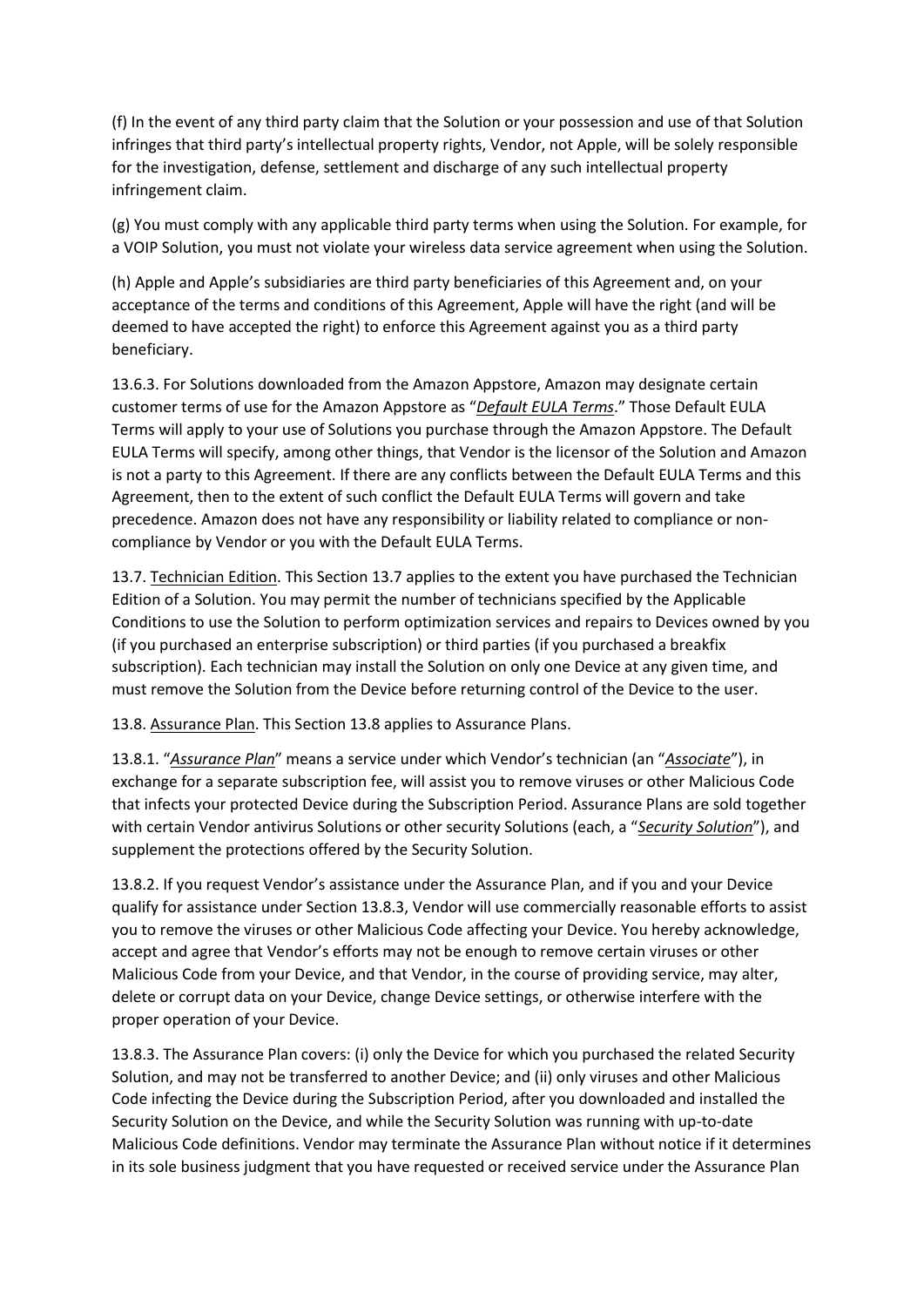(f) In the event of any third party claim that the Solution or your possession and use of that Solution infringes that third party's intellectual property rights, Vendor, not Apple, will be solely responsible for the investigation, defense, settlement and discharge of any such intellectual property infringement claim.

(g) You must comply with any applicable third party terms when using the Solution. For example, for a VOIP Solution, you must not violate your wireless data service agreement when using the Solution.

(h) Apple and Apple's subsidiaries are third party beneficiaries of this Agreement and, on your acceptance of the terms and conditions of this Agreement, Apple will have the right (and will be deemed to have accepted the right) to enforce this Agreement against you as a third party beneficiary.

13.6.3. For Solutions downloaded from the Amazon Appstore, Amazon may designate certain customer terms of use for the Amazon Appstore as "*Default EULA Terms*." Those Default EULA Terms will apply to your use of Solutions you purchase through the Amazon Appstore. The Default EULA Terms will specify, among other things, that Vendor is the licensor of the Solution and Amazon is not a party to this Agreement. If there are any conflicts between the Default EULA Terms and this Agreement, then to the extent of such conflict the Default EULA Terms will govern and take precedence. Amazon does not have any responsibility or liability related to compliance or noncompliance by Vendor or you with the Default EULA Terms.

13.7. Technician Edition. This Section 13.7 applies to the extent you have purchased the Technician Edition of a Solution. You may permit the number of technicians specified by the Applicable Conditions to use the Solution to perform optimization services and repairs to Devices owned by you (if you purchased an enterprise subscription) or third parties (if you purchased a breakfix subscription). Each technician may install the Solution on only one Device at any given time, and must remove the Solution from the Device before returning control of the Device to the user.

13.8. Assurance Plan. This Section 13.8 applies to Assurance Plans.

13.8.1. "*Assurance Plan*" means a service under which Vendor's technician (an "*Associate*"), in exchange for a separate subscription fee, will assist you to remove viruses or other Malicious Code that infects your protected Device during the Subscription Period. Assurance Plans are sold together with certain Vendor antivirus Solutions or other security Solutions (each, a "*Security Solution*"), and supplement the protections offered by the Security Solution.

13.8.2. If you request Vendor's assistance under the Assurance Plan, and if you and your Device qualify for assistance under Section 13.8.3, Vendor will use commercially reasonable efforts to assist you to remove the viruses or other Malicious Code affecting your Device. You hereby acknowledge, accept and agree that Vendor's efforts may not be enough to remove certain viruses or other Malicious Code from your Device, and that Vendor, in the course of providing service, may alter, delete or corrupt data on your Device, change Device settings, or otherwise interfere with the proper operation of your Device.

13.8.3. The Assurance Plan covers: (i) only the Device for which you purchased the related Security Solution, and may not be transferred to another Device; and (ii) only viruses and other Malicious Code infecting the Device during the Subscription Period, after you downloaded and installed the Security Solution on the Device, and while the Security Solution was running with up-to-date Malicious Code definitions. Vendor may terminate the Assurance Plan without notice if it determines in its sole business judgment that you have requested or received service under the Assurance Plan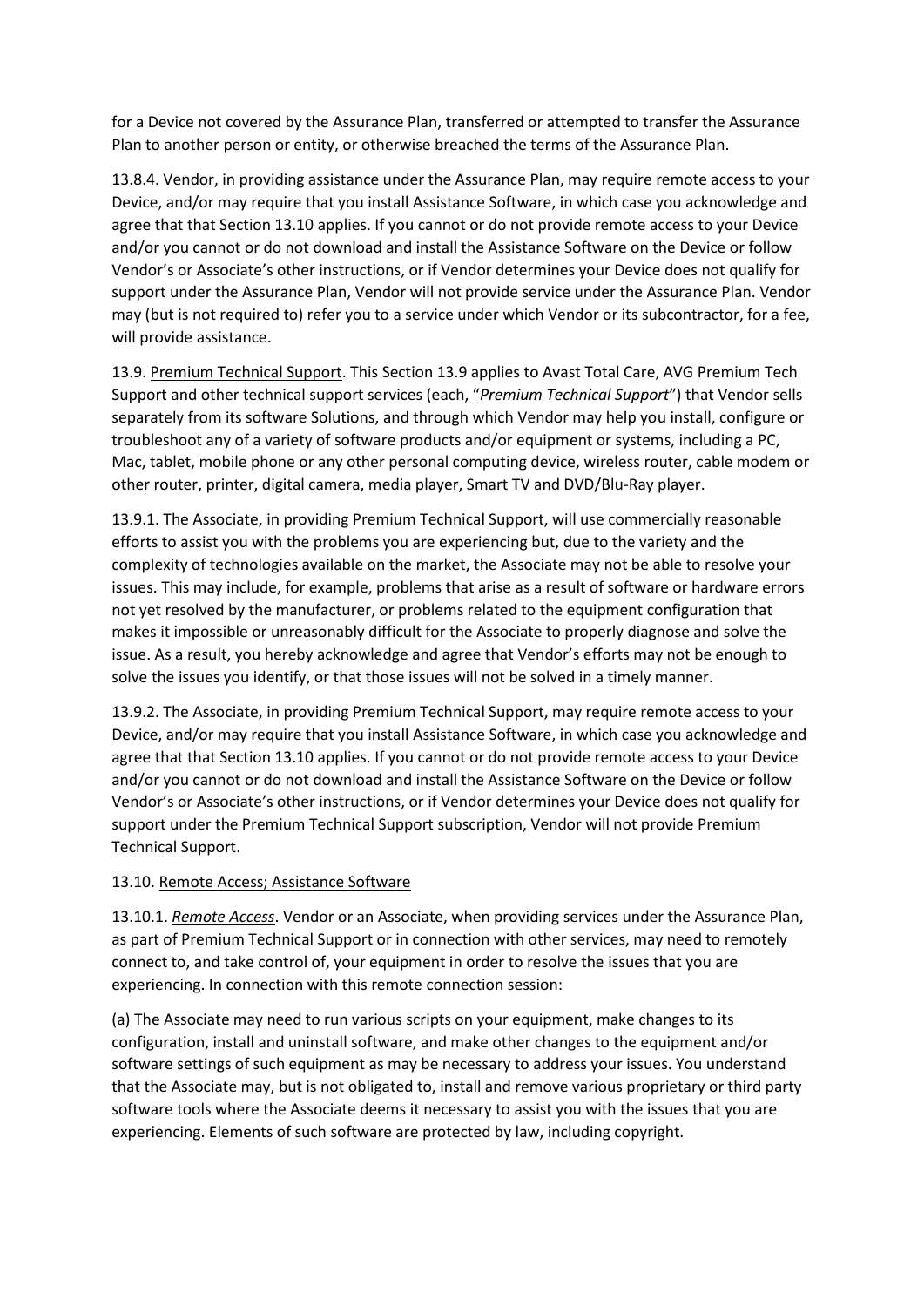for a Device not covered by the Assurance Plan, transferred or attempted to transfer the Assurance Plan to another person or entity, or otherwise breached the terms of the Assurance Plan.

13.8.4. Vendor, in providing assistance under the Assurance Plan, may require remote access to your Device, and/or may require that you install Assistance Software, in which case you acknowledge and agree that that Section 13.10 applies. If you cannot or do not provide remote access to your Device and/or you cannot or do not download and install the Assistance Software on the Device or follow Vendor's or Associate's other instructions, or if Vendor determines your Device does not qualify for support under the Assurance Plan, Vendor will not provide service under the Assurance Plan. Vendor may (but is not required to) refer you to a service under which Vendor or its subcontractor, for a fee, will provide assistance.

13.9. Premium Technical Support. This Section 13.9 applies to Avast Total Care, AVG Premium Tech Support and other technical support services (each, "*Premium Technical Support*") that Vendor sells separately from its software Solutions, and through which Vendor may help you install, configure or troubleshoot any of a variety of software products and/or equipment or systems, including a PC, Mac, tablet, mobile phone or any other personal computing device, wireless router, cable modem or other router, printer, digital camera, media player, Smart TV and DVD/Blu-Ray player.

13.9.1. The Associate, in providing Premium Technical Support, will use commercially reasonable efforts to assist you with the problems you are experiencing but, due to the variety and the complexity of technologies available on the market, the Associate may not be able to resolve your issues. This may include, for example, problems that arise as a result of software or hardware errors not yet resolved by the manufacturer, or problems related to the equipment configuration that makes it impossible or unreasonably difficult for the Associate to properly diagnose and solve the issue. As a result, you hereby acknowledge and agree that Vendor's efforts may not be enough to solve the issues you identify, or that those issues will not be solved in a timely manner.

13.9.2. The Associate, in providing Premium Technical Support, may require remote access to your Device, and/or may require that you install Assistance Software, in which case you acknowledge and agree that that Section 13.10 applies. If you cannot or do not provide remote access to your Device and/or you cannot or do not download and install the Assistance Software on the Device or follow Vendor's or Associate's other instructions, or if Vendor determines your Device does not qualify for support under the Premium Technical Support subscription, Vendor will not provide Premium Technical Support.

# 13.10. Remote Access; Assistance Software

13.10.1. *Remote Access*. Vendor or an Associate, when providing services under the Assurance Plan, as part of Premium Technical Support or in connection with other services, may need to remotely connect to, and take control of, your equipment in order to resolve the issues that you are experiencing. In connection with this remote connection session:

(a) The Associate may need to run various scripts on your equipment, make changes to its configuration, install and uninstall software, and make other changes to the equipment and/or software settings of such equipment as may be necessary to address your issues. You understand that the Associate may, but is not obligated to, install and remove various proprietary or third party software tools where the Associate deems it necessary to assist you with the issues that you are experiencing. Elements of such software are protected by law, including copyright.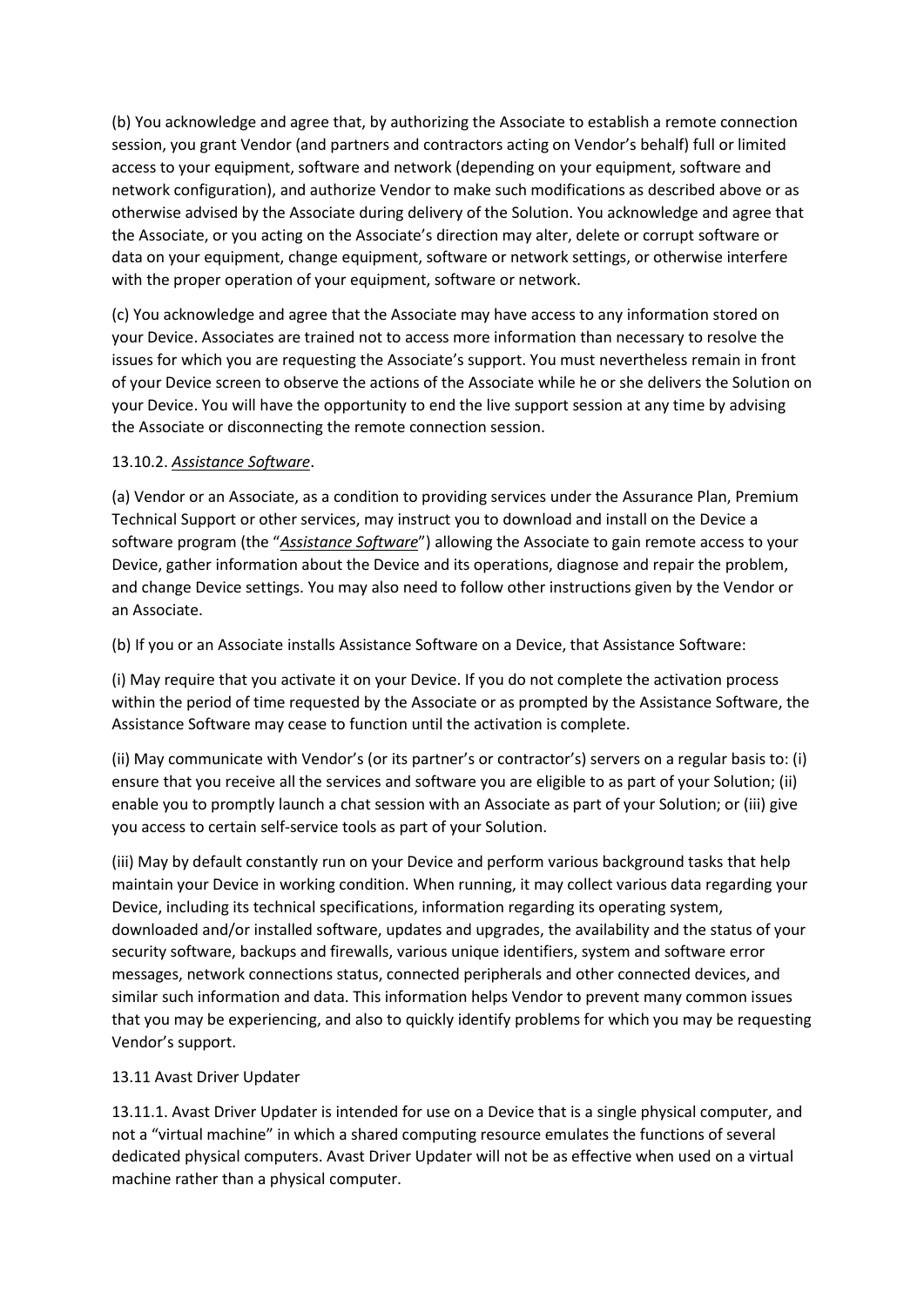(b) You acknowledge and agree that, by authorizing the Associate to establish a remote connection session, you grant Vendor (and partners and contractors acting on Vendor's behalf) full or limited access to your equipment, software and network (depending on your equipment, software and network configuration), and authorize Vendor to make such modifications as described above or as otherwise advised by the Associate during delivery of the Solution. You acknowledge and agree that the Associate, or you acting on the Associate's direction may alter, delete or corrupt software or data on your equipment, change equipment, software or network settings, or otherwise interfere with the proper operation of your equipment, software or network.

(c) You acknowledge and agree that the Associate may have access to any information stored on your Device. Associates are trained not to access more information than necessary to resolve the issues for which you are requesting the Associate's support. You must nevertheless remain in front of your Device screen to observe the actions of the Associate while he or she delivers the Solution on your Device. You will have the opportunity to end the live support session at any time by advising the Associate or disconnecting the remote connection session.

# 13.10.2. *Assistance Software*.

(a) Vendor or an Associate, as a condition to providing services under the Assurance Plan, Premium Technical Support or other services, may instruct you to download and install on the Device a software program (the "*Assistance Software*") allowing the Associate to gain remote access to your Device, gather information about the Device and its operations, diagnose and repair the problem, and change Device settings. You may also need to follow other instructions given by the Vendor or an Associate.

(b) If you or an Associate installs Assistance Software on a Device, that Assistance Software:

(i) May require that you activate it on your Device. If you do not complete the activation process within the period of time requested by the Associate or as prompted by the Assistance Software, the Assistance Software may cease to function until the activation is complete.

(ii) May communicate with Vendor's (or its partner's or contractor's) servers on a regular basis to: (i) ensure that you receive all the services and software you are eligible to as part of your Solution; (ii) enable you to promptly launch a chat session with an Associate as part of your Solution; or (iii) give you access to certain self-service tools as part of your Solution.

(iii) May by default constantly run on your Device and perform various background tasks that help maintain your Device in working condition. When running, it may collect various data regarding your Device, including its technical specifications, information regarding its operating system, downloaded and/or installed software, updates and upgrades, the availability and the status of your security software, backups and firewalls, various unique identifiers, system and software error messages, network connections status, connected peripherals and other connected devices, and similar such information and data. This information helps Vendor to prevent many common issues that you may be experiencing, and also to quickly identify problems for which you may be requesting Vendor's support.

# 13.11 Avast Driver Updater

13.11.1. Avast Driver Updater is intended for use on a Device that is a single physical computer, and not a "virtual machine" in which a shared computing resource emulates the functions of several dedicated physical computers. Avast Driver Updater will not be as effective when used on a virtual machine rather than a physical computer.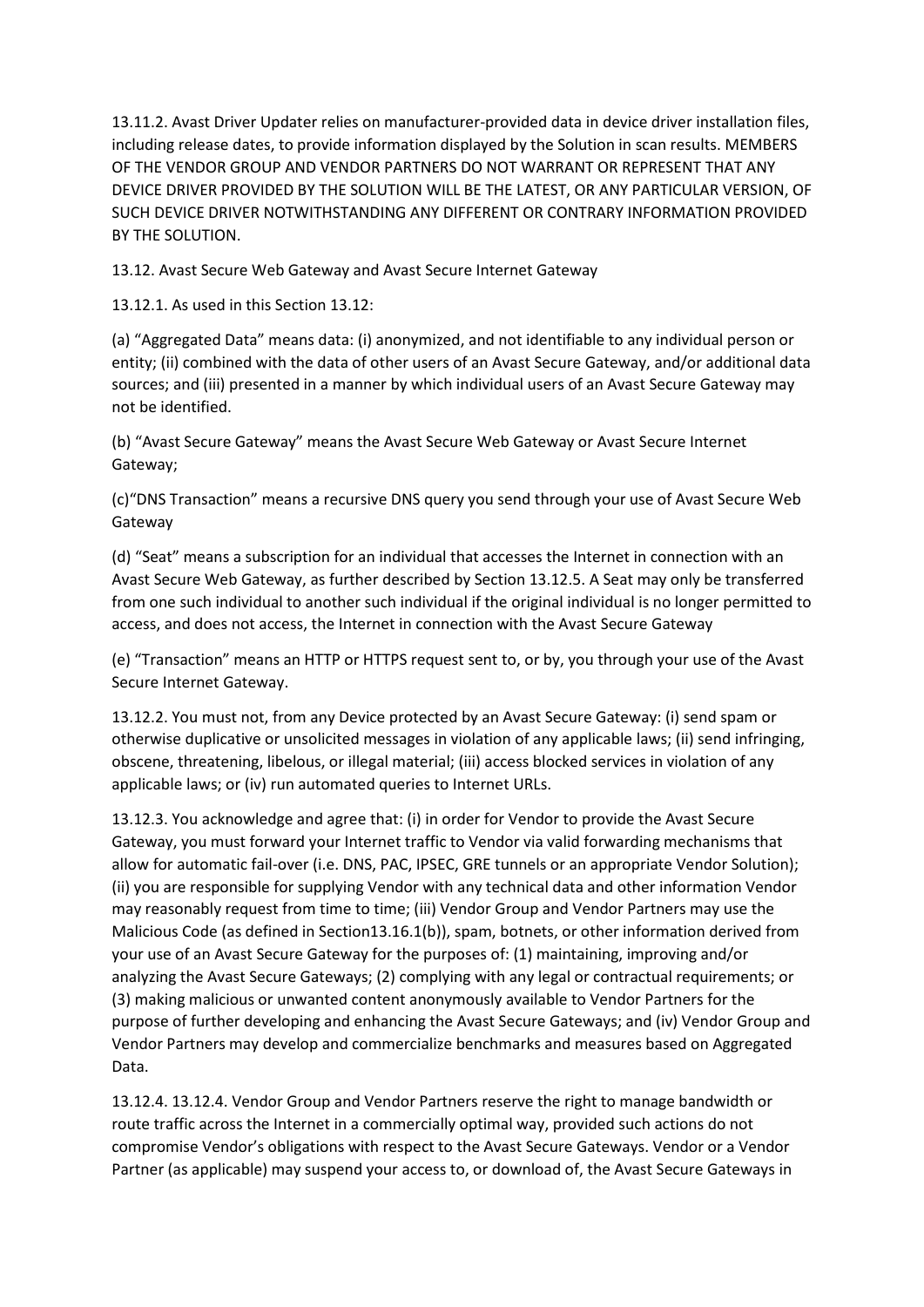13.11.2. Avast Driver Updater relies on manufacturer-provided data in device driver installation files, including release dates, to provide information displayed by the Solution in scan results. MEMBERS OF THE VENDOR GROUP AND VENDOR PARTNERS DO NOT WARRANT OR REPRESENT THAT ANY DEVICE DRIVER PROVIDED BY THE SOLUTION WILL BE THE LATEST, OR ANY PARTICULAR VERSION, OF SUCH DEVICE DRIVER NOTWITHSTANDING ANY DIFFERENT OR CONTRARY INFORMATION PROVIDED BY THE SOLUTION.

13.12. Avast Secure Web Gateway and Avast Secure Internet Gateway

13.12.1. As used in this Section 13.12:

(a) "Aggregated Data" means data: (i) anonymized, and not identifiable to any individual person or entity; (ii) combined with the data of other users of an Avast Secure Gateway, and/or additional data sources; and (iii) presented in a manner by which individual users of an Avast Secure Gateway may not be identified.

(b) "Avast Secure Gateway" means the Avast Secure Web Gateway or Avast Secure Internet Gateway;

(c)"DNS Transaction" means a recursive DNS query you send through your use of Avast Secure Web Gateway

(d) "Seat" means a subscription for an individual that accesses the Internet in connection with an Avast Secure Web Gateway, as further described by Section 13.12.5. A Seat may only be transferred from one such individual to another such individual if the original individual is no longer permitted to access, and does not access, the Internet in connection with the Avast Secure Gateway

(e) "Transaction" means an HTTP or HTTPS request sent to, or by, you through your use of the Avast Secure Internet Gateway.

13.12.2. You must not, from any Device protected by an Avast Secure Gateway: (i) send spam or otherwise duplicative or unsolicited messages in violation of any applicable laws; (ii) send infringing, obscene, threatening, libelous, or illegal material; (iii) access blocked services in violation of any applicable laws; or (iv) run automated queries to Internet URLs.

13.12.3. You acknowledge and agree that: (i) in order for Vendor to provide the Avast Secure Gateway, you must forward your Internet traffic to Vendor via valid forwarding mechanisms that allow for automatic fail-over (i.e. DNS, PAC, IPSEC, GRE tunnels or an appropriate Vendor Solution); (ii) you are responsible for supplying Vendor with any technical data and other information Vendor may reasonably request from time to time; (iii) Vendor Group and Vendor Partners may use the Malicious Code (as defined in Section13.16.1(b)), spam, botnets, or other information derived from your use of an Avast Secure Gateway for the purposes of: (1) maintaining, improving and/or analyzing the Avast Secure Gateways; (2) complying with any legal or contractual requirements; or (3) making malicious or unwanted content anonymously available to Vendor Partners for the purpose of further developing and enhancing the Avast Secure Gateways; and (iv) Vendor Group and Vendor Partners may develop and commercialize benchmarks and measures based on Aggregated Data.

13.12.4. 13.12.4. Vendor Group and Vendor Partners reserve the right to manage bandwidth or route traffic across the Internet in a commercially optimal way, provided such actions do not compromise Vendor's obligations with respect to the Avast Secure Gateways. Vendor or a Vendor Partner (as applicable) may suspend your access to, or download of, the Avast Secure Gateways in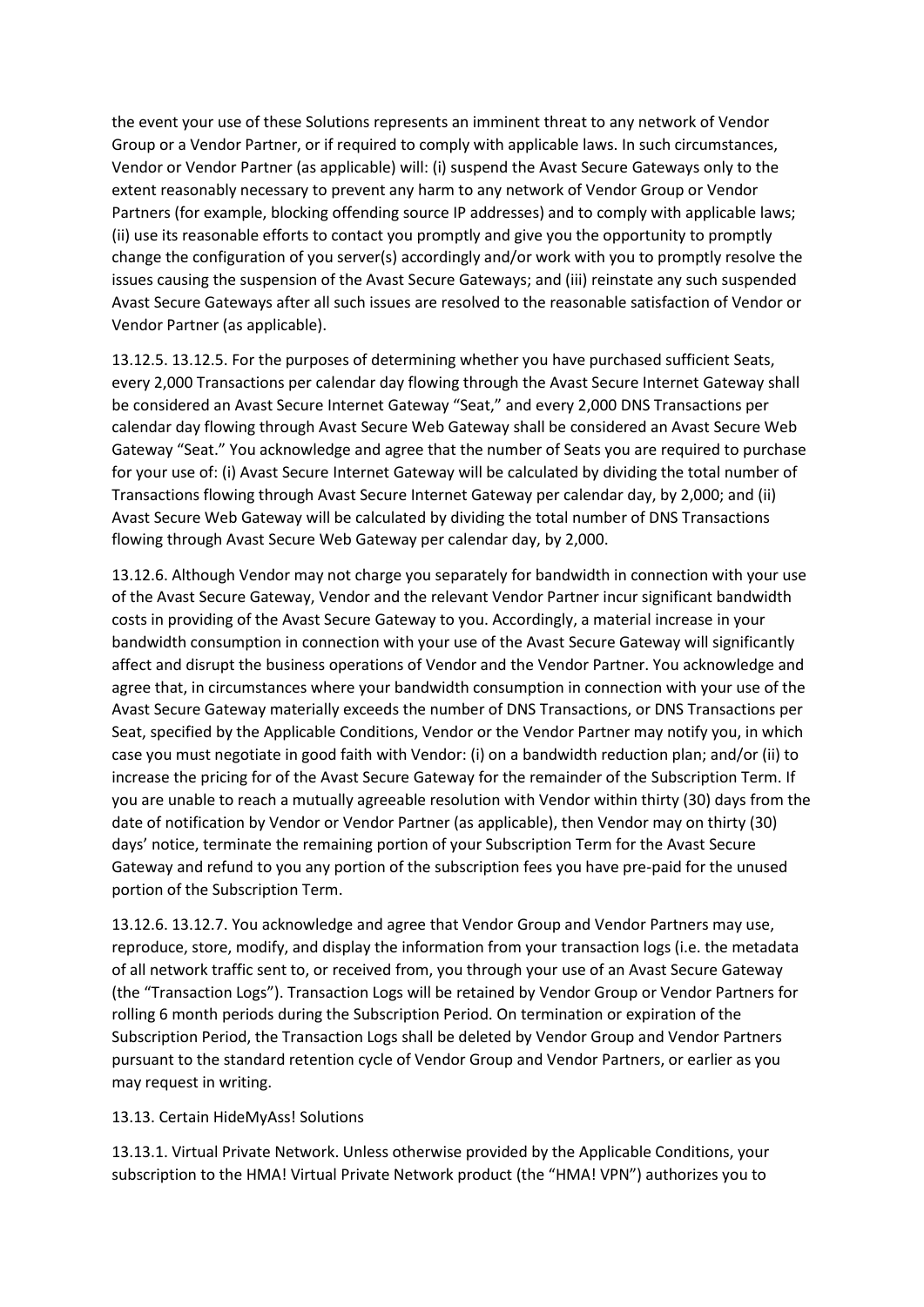the event your use of these Solutions represents an imminent threat to any network of Vendor Group or a Vendor Partner, or if required to comply with applicable laws. In such circumstances, Vendor or Vendor Partner (as applicable) will: (i) suspend the Avast Secure Gateways only to the extent reasonably necessary to prevent any harm to any network of Vendor Group or Vendor Partners (for example, blocking offending source IP addresses) and to comply with applicable laws; (ii) use its reasonable efforts to contact you promptly and give you the opportunity to promptly change the configuration of you server(s) accordingly and/or work with you to promptly resolve the issues causing the suspension of the Avast Secure Gateways; and (iii) reinstate any such suspended Avast Secure Gateways after all such issues are resolved to the reasonable satisfaction of Vendor or Vendor Partner (as applicable).

13.12.5. 13.12.5. For the purposes of determining whether you have purchased sufficient Seats, every 2,000 Transactions per calendar day flowing through the Avast Secure Internet Gateway shall be considered an Avast Secure Internet Gateway "Seat," and every 2,000 DNS Transactions per calendar day flowing through Avast Secure Web Gateway shall be considered an Avast Secure Web Gateway "Seat." You acknowledge and agree that the number of Seats you are required to purchase for your use of: (i) Avast Secure Internet Gateway will be calculated by dividing the total number of Transactions flowing through Avast Secure Internet Gateway per calendar day, by 2,000; and (ii) Avast Secure Web Gateway will be calculated by dividing the total number of DNS Transactions flowing through Avast Secure Web Gateway per calendar day, by 2,000.

13.12.6. Although Vendor may not charge you separately for bandwidth in connection with your use of the Avast Secure Gateway, Vendor and the relevant Vendor Partner incur significant bandwidth costs in providing of the Avast Secure Gateway to you. Accordingly, a material increase in your bandwidth consumption in connection with your use of the Avast Secure Gateway will significantly affect and disrupt the business operations of Vendor and the Vendor Partner. You acknowledge and agree that, in circumstances where your bandwidth consumption in connection with your use of the Avast Secure Gateway materially exceeds the number of DNS Transactions, or DNS Transactions per Seat, specified by the Applicable Conditions, Vendor or the Vendor Partner may notify you, in which case you must negotiate in good faith with Vendor: (i) on a bandwidth reduction plan; and/or (ii) to increase the pricing for of the Avast Secure Gateway for the remainder of the Subscription Term. If you are unable to reach a mutually agreeable resolution with Vendor within thirty (30) days from the date of notification by Vendor or Vendor Partner (as applicable), then Vendor may on thirty (30) days' notice, terminate the remaining portion of your Subscription Term for the Avast Secure Gateway and refund to you any portion of the subscription fees you have pre-paid for the unused portion of the Subscription Term.

13.12.6. 13.12.7. You acknowledge and agree that Vendor Group and Vendor Partners may use, reproduce, store, modify, and display the information from your transaction logs (i.e. the metadata of all network traffic sent to, or received from, you through your use of an Avast Secure Gateway (the "Transaction Logs"). Transaction Logs will be retained by Vendor Group or Vendor Partners for rolling 6 month periods during the Subscription Period. On termination or expiration of the Subscription Period, the Transaction Logs shall be deleted by Vendor Group and Vendor Partners pursuant to the standard retention cycle of Vendor Group and Vendor Partners, or earlier as you may request in writing.

13.13. Certain HideMyAss! Solutions

13.13.1. Virtual Private Network. Unless otherwise provided by the Applicable Conditions, your subscription to the HMA! Virtual Private Network product (the "HMA! VPN") authorizes you to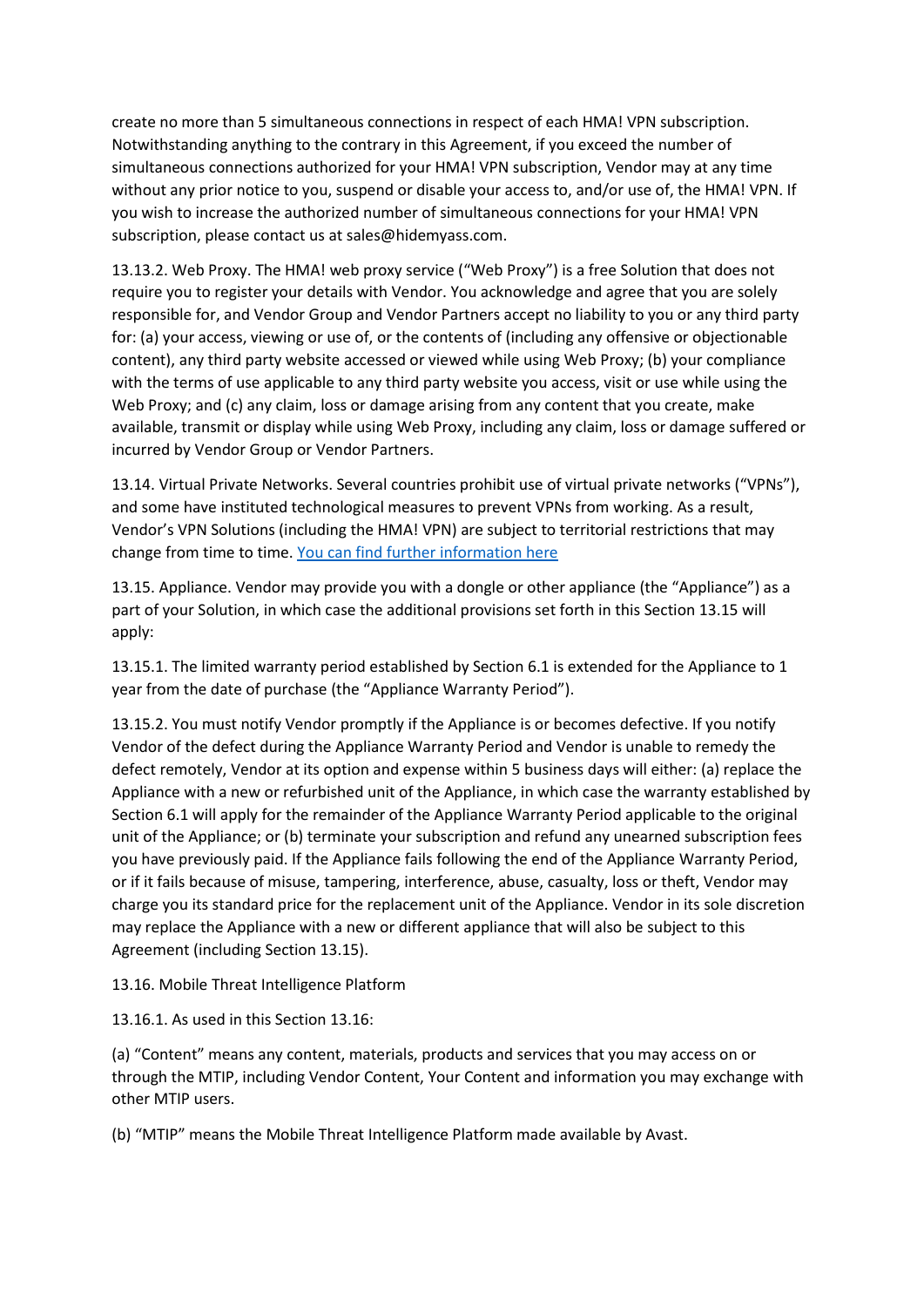create no more than 5 simultaneous connections in respect of each HMA! VPN subscription. Notwithstanding anything to the contrary in this Agreement, if you exceed the number of simultaneous connections authorized for your HMA! VPN subscription, Vendor may at any time without any prior notice to you, suspend or disable your access to, and/or use of, the HMA! VPN. If you wish to increase the authorized number of simultaneous connections for your HMA! VPN subscription, please contact us at sales@hidemyass.com.

13.13.2. Web Proxy. The HMA! web proxy service ("Web Proxy") is a free Solution that does not require you to register your details with Vendor. You acknowledge and agree that you are solely responsible for, and Vendor Group and Vendor Partners accept no liability to you or any third party for: (a) your access, viewing or use of, or the contents of (including any offensive or objectionable content), any third party website accessed or viewed while using Web Proxy; (b) your compliance with the terms of use applicable to any third party website you access, visit or use while using the Web Proxy; and (c) any claim, loss or damage arising from any content that you create, make available, transmit or display while using Web Proxy, including any claim, loss or damage suffered or incurred by Vendor Group or Vendor Partners.

13.14. Virtual Private Networks. Several countries prohibit use of virtual private networks ("VPNs"), and some have instituted technological measures to prevent VPNs from working. As a result, Vendor's VPN Solutions (including the HMA! VPN) are subject to territorial restrictions that may change from time to time[. You can find further information here](https://www.avast.com/vpn-territory)

13.15. Appliance. Vendor may provide you with a dongle or other appliance (the "Appliance") as a part of your Solution, in which case the additional provisions set forth in this Section 13.15 will apply:

13.15.1. The limited warranty period established by Section 6.1 is extended for the Appliance to 1 year from the date of purchase (the "Appliance Warranty Period").

13.15.2. You must notify Vendor promptly if the Appliance is or becomes defective. If you notify Vendor of the defect during the Appliance Warranty Period and Vendor is unable to remedy the defect remotely, Vendor at its option and expense within 5 business days will either: (a) replace the Appliance with a new or refurbished unit of the Appliance, in which case the warranty established by Section 6.1 will apply for the remainder of the Appliance Warranty Period applicable to the original unit of the Appliance; or (b) terminate your subscription and refund any unearned subscription fees you have previously paid. If the Appliance fails following the end of the Appliance Warranty Period, or if it fails because of misuse, tampering, interference, abuse, casualty, loss or theft, Vendor may charge you its standard price for the replacement unit of the Appliance. Vendor in its sole discretion may replace the Appliance with a new or different appliance that will also be subject to this Agreement (including Section 13.15).

13.16. Mobile Threat Intelligence Platform

13.16.1. As used in this Section 13.16:

(a) "Content" means any content, materials, products and services that you may access on or through the MTIP, including Vendor Content, Your Content and information you may exchange with other MTIP users.

(b) "MTIP" means the Mobile Threat Intelligence Platform made available by Avast.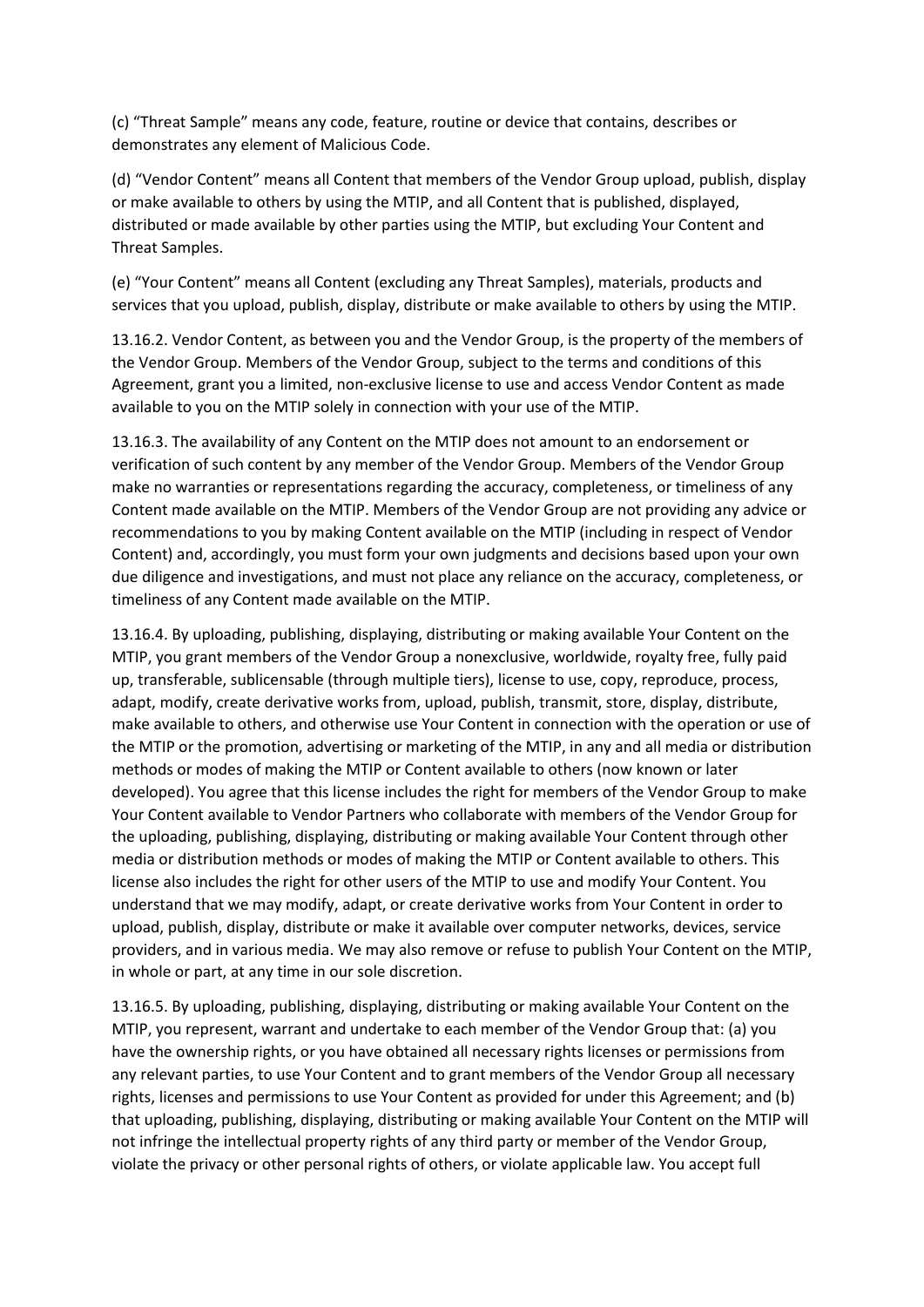(c) "Threat Sample" means any code, feature, routine or device that contains, describes or demonstrates any element of Malicious Code.

(d) "Vendor Content" means all Content that members of the Vendor Group upload, publish, display or make available to others by using the MTIP, and all Content that is published, displayed, distributed or made available by other parties using the MTIP, but excluding Your Content and Threat Samples.

(e) "Your Content" means all Content (excluding any Threat Samples), materials, products and services that you upload, publish, display, distribute or make available to others by using the MTIP.

13.16.2. Vendor Content, as between you and the Vendor Group, is the property of the members of the Vendor Group. Members of the Vendor Group, subject to the terms and conditions of this Agreement, grant you a limited, non-exclusive license to use and access Vendor Content as made available to you on the MTIP solely in connection with your use of the MTIP.

13.16.3. The availability of any Content on the MTIP does not amount to an endorsement or verification of such content by any member of the Vendor Group. Members of the Vendor Group make no warranties or representations regarding the accuracy, completeness, or timeliness of any Content made available on the MTIP. Members of the Vendor Group are not providing any advice or recommendations to you by making Content available on the MTIP (including in respect of Vendor Content) and, accordingly, you must form your own judgments and decisions based upon your own due diligence and investigations, and must not place any reliance on the accuracy, completeness, or timeliness of any Content made available on the MTIP.

13.16.4. By uploading, publishing, displaying, distributing or making available Your Content on the MTIP, you grant members of the Vendor Group a nonexclusive, worldwide, royalty free, fully paid up, transferable, sublicensable (through multiple tiers), license to use, copy, reproduce, process, adapt, modify, create derivative works from, upload, publish, transmit, store, display, distribute, make available to others, and otherwise use Your Content in connection with the operation or use of the MTIP or the promotion, advertising or marketing of the MTIP, in any and all media or distribution methods or modes of making the MTIP or Content available to others (now known or later developed). You agree that this license includes the right for members of the Vendor Group to make Your Content available to Vendor Partners who collaborate with members of the Vendor Group for the uploading, publishing, displaying, distributing or making available Your Content through other media or distribution methods or modes of making the MTIP or Content available to others. This license also includes the right for other users of the MTIP to use and modify Your Content. You understand that we may modify, adapt, or create derivative works from Your Content in order to upload, publish, display, distribute or make it available over computer networks, devices, service providers, and in various media. We may also remove or refuse to publish Your Content on the MTIP, in whole or part, at any time in our sole discretion.

13.16.5. By uploading, publishing, displaying, distributing or making available Your Content on the MTIP, you represent, warrant and undertake to each member of the Vendor Group that: (a) you have the ownership rights, or you have obtained all necessary rights licenses or permissions from any relevant parties, to use Your Content and to grant members of the Vendor Group all necessary rights, licenses and permissions to use Your Content as provided for under this Agreement; and (b) that uploading, publishing, displaying, distributing or making available Your Content on the MTIP will not infringe the intellectual property rights of any third party or member of the Vendor Group, violate the privacy or other personal rights of others, or violate applicable law. You accept full